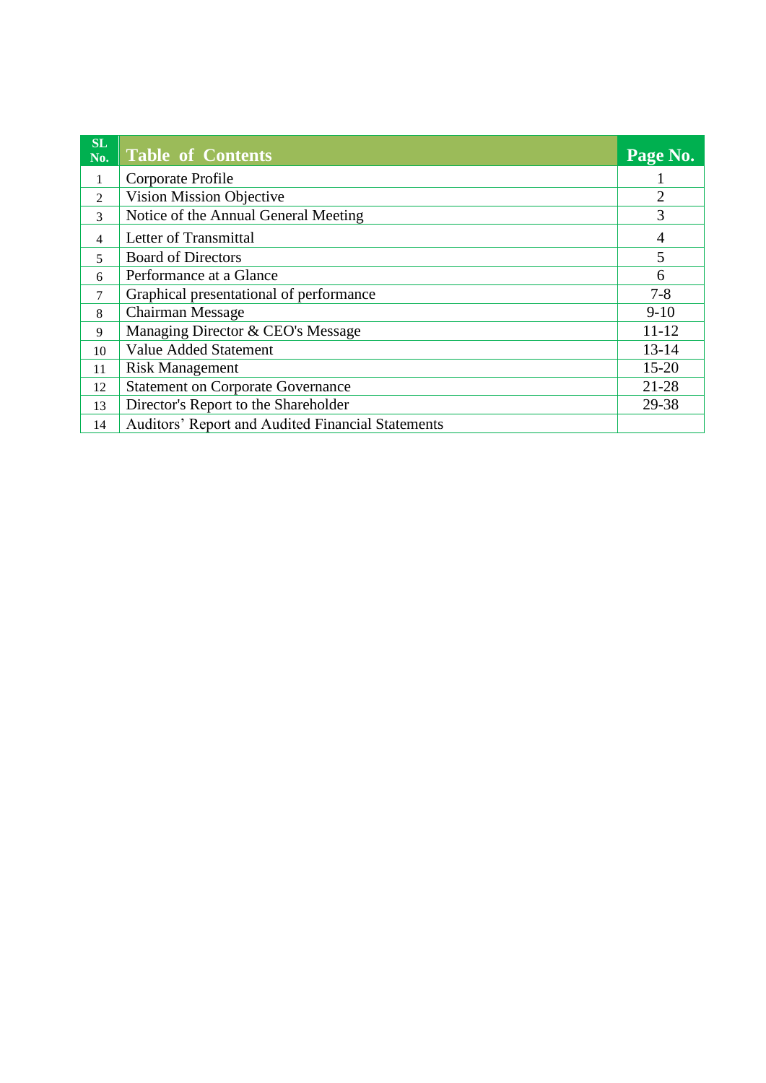| SL<br>No. | <b>Table of Contents</b>                                 | Page No.       |
|-----------|----------------------------------------------------------|----------------|
| 1         | Corporate Profile                                        |                |
| 2         | <b>Vision Mission Objective</b>                          | $\overline{2}$ |
| 3         | Notice of the Annual General Meeting                     | 3              |
| 4         | Letter of Transmittal                                    | 4              |
| 5         | <b>Board of Directors</b>                                | 5              |
| 6         | Performance at a Glance                                  | 6              |
| 7         | Graphical presentational of performance                  | $7 - 8$        |
| 8         | <b>Chairman Message</b>                                  | $9-10$         |
| 9         | Managing Director & CEO's Message                        | $11 - 12$      |
| 10        | <b>Value Added Statement</b>                             | $13 - 14$      |
| 11        | <b>Risk Management</b>                                   | $15 - 20$      |
| 12        | <b>Statement on Corporate Governance</b>                 | 21-28          |
| 13        | Director's Report to the Shareholder                     | 29-38          |
| 14        | <b>Auditors' Report and Audited Financial Statements</b> |                |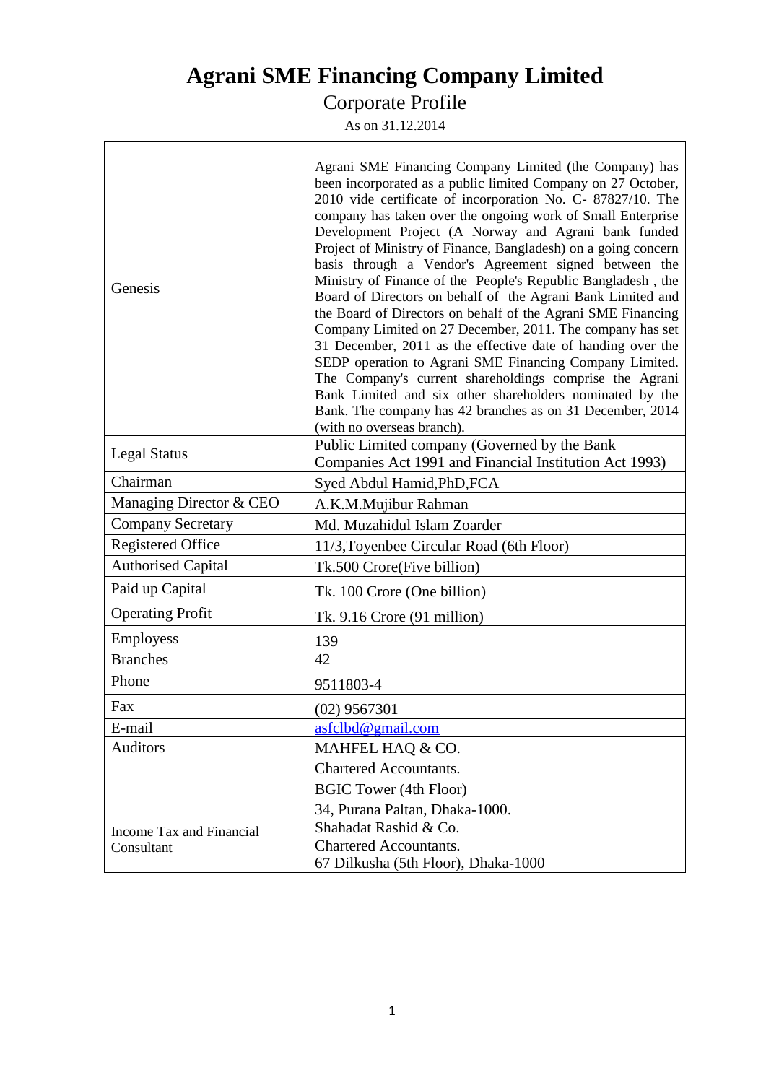# **Agrani SME Financing Company Limited**

#### Corporate Profile

As on 31.12.2014

 $\overline{1}$ 

| Genesis                   | Agrani SME Financing Company Limited (the Company) has<br>been incorporated as a public limited Company on 27 October,<br>2010 vide certificate of incorporation No. C- 87827/10. The<br>company has taken over the ongoing work of Small Enterprise<br>Development Project (A Norway and Agrani bank funded<br>Project of Ministry of Finance, Bangladesh) on a going concern<br>basis through a Vendor's Agreement signed between the<br>Ministry of Finance of the People's Republic Bangladesh, the<br>Board of Directors on behalf of the Agrani Bank Limited and<br>the Board of Directors on behalf of the Agrani SME Financing<br>Company Limited on 27 December, 2011. The company has set<br>31 December, 2011 as the effective date of handing over the<br>SEDP operation to Agrani SME Financing Company Limited.<br>The Company's current shareholdings comprise the Agrani<br>Bank Limited and six other shareholders nominated by the<br>Bank. The company has 42 branches as on 31 December, 2014<br>(with no overseas branch). |  |  |  |
|---------------------------|-------------------------------------------------------------------------------------------------------------------------------------------------------------------------------------------------------------------------------------------------------------------------------------------------------------------------------------------------------------------------------------------------------------------------------------------------------------------------------------------------------------------------------------------------------------------------------------------------------------------------------------------------------------------------------------------------------------------------------------------------------------------------------------------------------------------------------------------------------------------------------------------------------------------------------------------------------------------------------------------------------------------------------------------------|--|--|--|
| <b>Legal Status</b>       | Public Limited company (Governed by the Bank<br>Companies Act 1991 and Financial Institution Act 1993)                                                                                                                                                                                                                                                                                                                                                                                                                                                                                                                                                                                                                                                                                                                                                                                                                                                                                                                                          |  |  |  |
| Chairman                  | Syed Abdul Hamid, PhD, FCA                                                                                                                                                                                                                                                                                                                                                                                                                                                                                                                                                                                                                                                                                                                                                                                                                                                                                                                                                                                                                      |  |  |  |
| Managing Director & CEO   | A.K.M.Mujibur Rahman                                                                                                                                                                                                                                                                                                                                                                                                                                                                                                                                                                                                                                                                                                                                                                                                                                                                                                                                                                                                                            |  |  |  |
| <b>Company Secretary</b>  | Md. Muzahidul Islam Zoarder                                                                                                                                                                                                                                                                                                                                                                                                                                                                                                                                                                                                                                                                                                                                                                                                                                                                                                                                                                                                                     |  |  |  |
| <b>Registered Office</b>  | 11/3, Toyenbee Circular Road (6th Floor)                                                                                                                                                                                                                                                                                                                                                                                                                                                                                                                                                                                                                                                                                                                                                                                                                                                                                                                                                                                                        |  |  |  |
| <b>Authorised Capital</b> | Tk.500 Crore(Five billion)                                                                                                                                                                                                                                                                                                                                                                                                                                                                                                                                                                                                                                                                                                                                                                                                                                                                                                                                                                                                                      |  |  |  |
| Paid up Capital           | Tk. 100 Crore (One billion)                                                                                                                                                                                                                                                                                                                                                                                                                                                                                                                                                                                                                                                                                                                                                                                                                                                                                                                                                                                                                     |  |  |  |
| <b>Operating Profit</b>   | Tk. $9.16$ Crore (91 million)                                                                                                                                                                                                                                                                                                                                                                                                                                                                                                                                                                                                                                                                                                                                                                                                                                                                                                                                                                                                                   |  |  |  |
| Employess                 | 139                                                                                                                                                                                                                                                                                                                                                                                                                                                                                                                                                                                                                                                                                                                                                                                                                                                                                                                                                                                                                                             |  |  |  |
| <b>Branches</b>           | 42                                                                                                                                                                                                                                                                                                                                                                                                                                                                                                                                                                                                                                                                                                                                                                                                                                                                                                                                                                                                                                              |  |  |  |
| Phone                     | 9511803-4                                                                                                                                                                                                                                                                                                                                                                                                                                                                                                                                                                                                                                                                                                                                                                                                                                                                                                                                                                                                                                       |  |  |  |
| Fax                       | $(02)$ 9567301                                                                                                                                                                                                                                                                                                                                                                                                                                                                                                                                                                                                                                                                                                                                                                                                                                                                                                                                                                                                                                  |  |  |  |
| E-mail                    | asfclbd@gmail.com                                                                                                                                                                                                                                                                                                                                                                                                                                                                                                                                                                                                                                                                                                                                                                                                                                                                                                                                                                                                                               |  |  |  |
| <b>Auditors</b>           | MAHFEL HAQ & CO.                                                                                                                                                                                                                                                                                                                                                                                                                                                                                                                                                                                                                                                                                                                                                                                                                                                                                                                                                                                                                                |  |  |  |
|                           | Chartered Accountants.                                                                                                                                                                                                                                                                                                                                                                                                                                                                                                                                                                                                                                                                                                                                                                                                                                                                                                                                                                                                                          |  |  |  |
|                           | <b>BGIC Tower (4th Floor)</b>                                                                                                                                                                                                                                                                                                                                                                                                                                                                                                                                                                                                                                                                                                                                                                                                                                                                                                                                                                                                                   |  |  |  |
|                           | 34, Purana Paltan, Dhaka-1000.                                                                                                                                                                                                                                                                                                                                                                                                                                                                                                                                                                                                                                                                                                                                                                                                                                                                                                                                                                                                                  |  |  |  |
| Income Tax and Financial  | Shahadat Rashid & Co.                                                                                                                                                                                                                                                                                                                                                                                                                                                                                                                                                                                                                                                                                                                                                                                                                                                                                                                                                                                                                           |  |  |  |
| Consultant                | <b>Chartered Accountants.</b>                                                                                                                                                                                                                                                                                                                                                                                                                                                                                                                                                                                                                                                                                                                                                                                                                                                                                                                                                                                                                   |  |  |  |
|                           | 67 Dilkusha (5th Floor), Dhaka-1000                                                                                                                                                                                                                                                                                                                                                                                                                                                                                                                                                                                                                                                                                                                                                                                                                                                                                                                                                                                                             |  |  |  |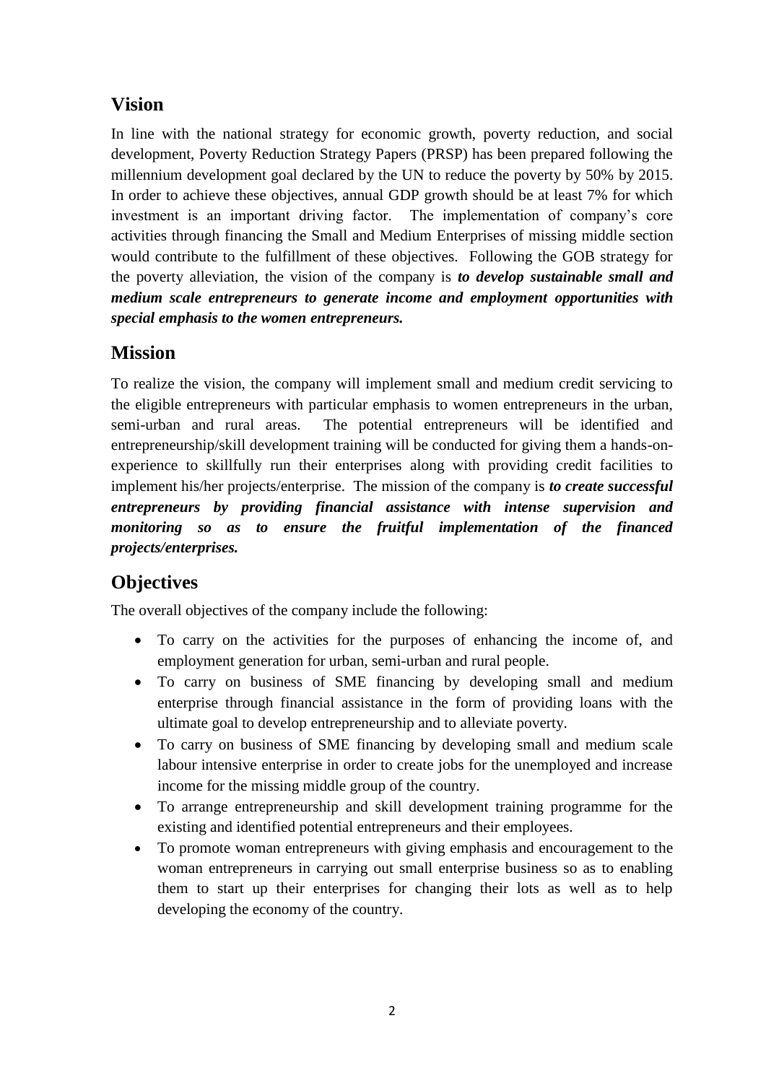## **Vision**

In line with the national strategy for economic growth, poverty reduction, and social development, Poverty Reduction Strategy Papers (PRSP) has been prepared following the millennium development goal declared by the UN to reduce the poverty by 50% by 2015. In order to achieve these objectives, annual GDP growth should be at least 7% for which investment is an important driving factor. The implementation of company's core activities through financing the Small and Medium Enterprises of missing middle section would contribute to the fulfillment of these objectives. Following the GOB strategy for the poverty alleviation, the vision of the company is *to develop sustainable small and medium scale entrepreneurs to generate income and employment opportunities with special emphasis to the women entrepreneurs.*

## **Mission**

To realize the vision, the company will implement small and medium credit servicing to the eligible entrepreneurs with particular emphasis to women entrepreneurs in the urban, semi-urban and rural areas. The potential entrepreneurs will be identified and entrepreneurship/skill development training will be conducted for giving them a hands-onexperience to skillfully run their enterprises along with providing credit facilities to implement his/her projects/enterprise. The mission of the company is *to create successful entrepreneurs by providing financial assistance with intense supervision and monitoring so as to ensure the fruitful implementation of the financed projects/enterprises.*

## **Objectives**

The overall objectives of the company include the following:

- To carry on the activities for the purposes of enhancing the income of, and employment generation for urban, semi-urban and rural people.
- To carry on business of SME financing by developing small and medium enterprise through financial assistance in the form of providing loans with the ultimate goal to develop entrepreneurship and to alleviate poverty.
- To carry on business of SME financing by developing small and medium scale labour intensive enterprise in order to create jobs for the unemployed and increase income for the missing middle group of the country.
- To arrange entrepreneurship and skill development training programme for the existing and identified potential entrepreneurs and their employees.
- To promote woman entrepreneurs with giving emphasis and encouragement to the woman entrepreneurs in carrying out small enterprise business so as to enabling them to start up their enterprises for changing their lots as well as to help developing the economy of the country.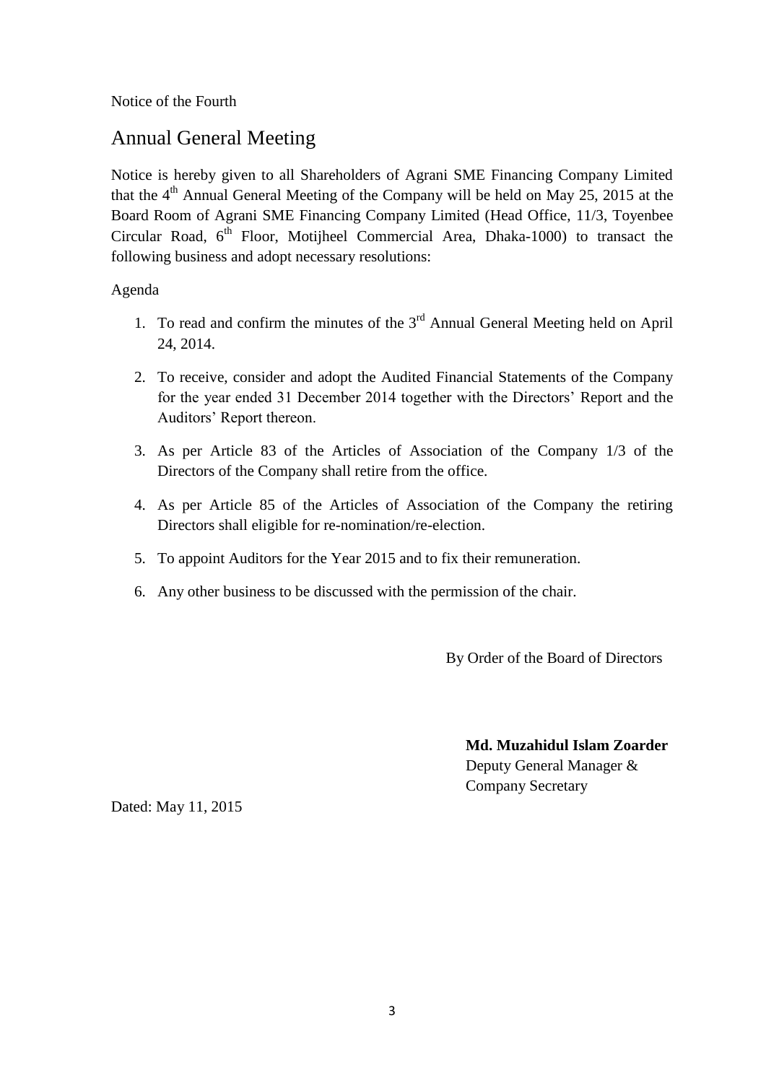Notice of the Fourth

## Annual General Meeting

Notice is hereby given to all Shareholders of Agrani SME Financing Company Limited that the  $4<sup>th</sup>$  Annual General Meeting of the Company will be held on May 25, 2015 at the Board Room of Agrani SME Financing Company Limited (Head Office, 11/3, Toyenbee Circular Road,  $6<sup>th</sup>$  Floor, Motijheel Commercial Area, Dhaka-1000) to transact the following business and adopt necessary resolutions:

Agenda

- 1. To read and confirm the minutes of the  $3<sup>rd</sup>$  Annual General Meeting held on April 24, 2014.
- 2. To receive, consider and adopt the Audited Financial Statements of the Company for the year ended 31 December 2014 together with the Directors' Report and the Auditors' Report thereon.
- 3. As per Article 83 of the Articles of Association of the Company 1/3 of the Directors of the Company shall retire from the office.
- 4. As per Article 85 of the Articles of Association of the Company the retiring Directors shall eligible for re-nomination/re-election.
- 5. To appoint Auditors for the Year 2015 and to fix their remuneration.
- 6. Any other business to be discussed with the permission of the chair.

By Order of the Board of Directors

**Md. Muzahidul Islam Zoarder**

Deputy General Manager & Company Secretary

Dated: May 11, 2015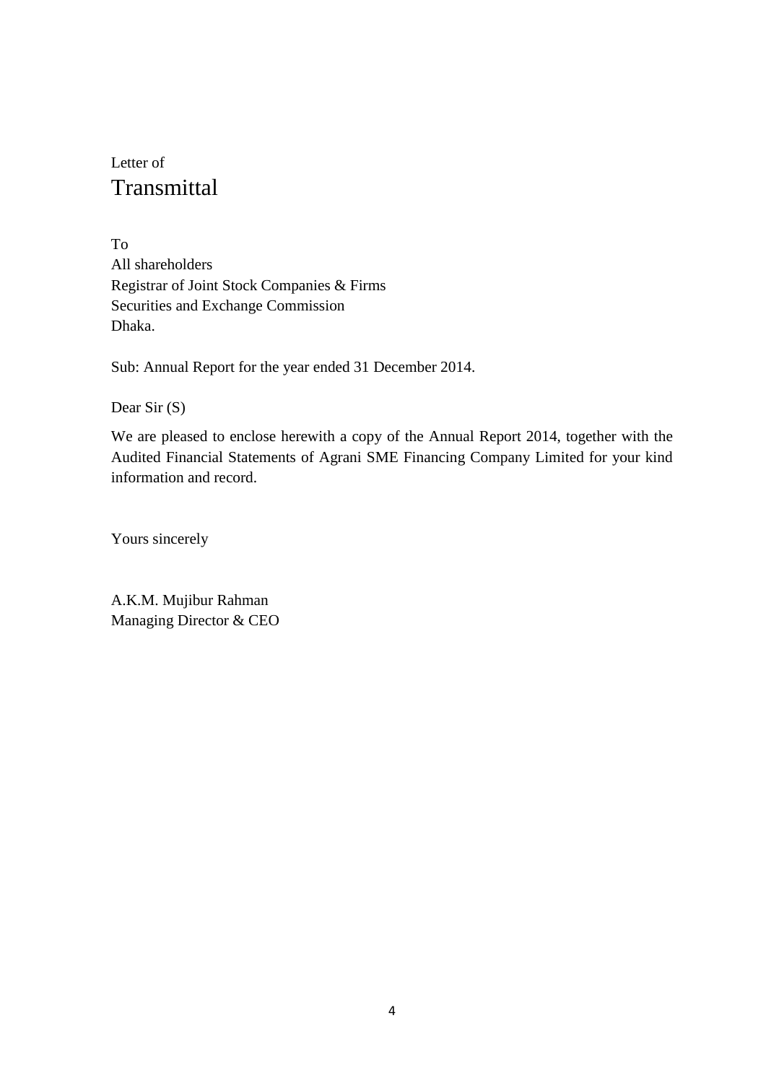# Letter of Transmittal

To All shareholders Registrar of Joint Stock Companies & Firms Securities and Exchange Commission Dhaka.

Sub: Annual Report for the year ended 31 December 2014.

Dear Sir (S)

We are pleased to enclose herewith a copy of the Annual Report 2014, together with the Audited Financial Statements of Agrani SME Financing Company Limited for your kind information and record.

Yours sincerely

A.K.M. Mujibur Rahman Managing Director & CEO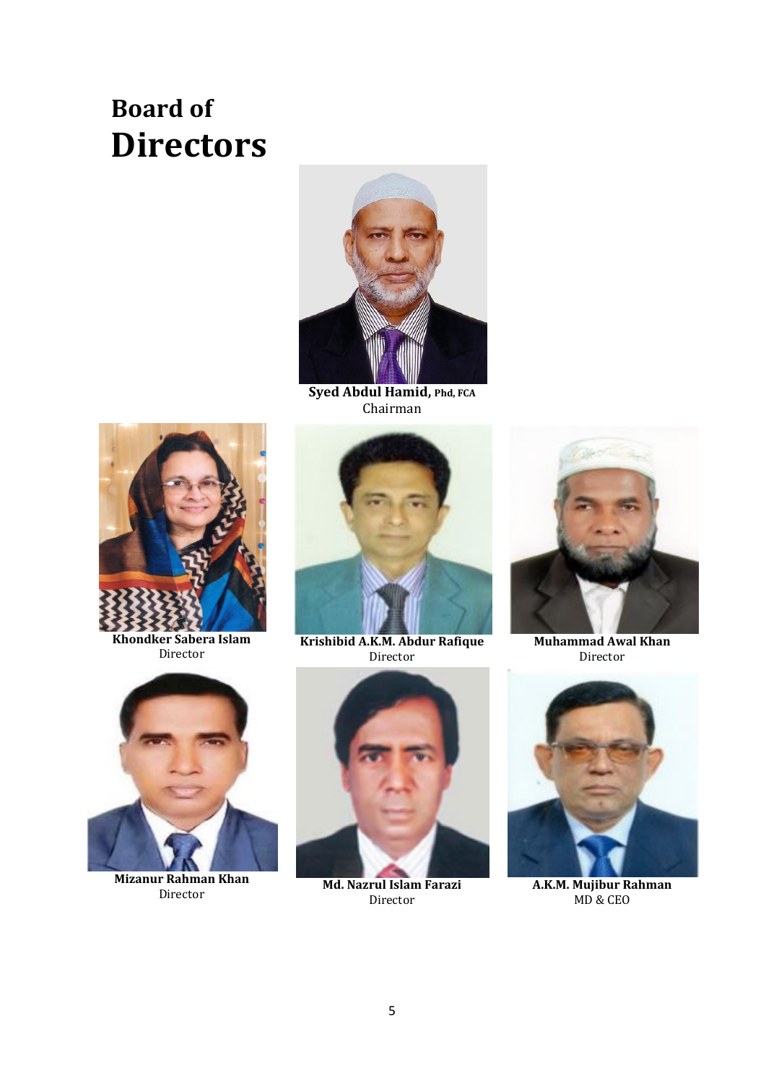# **Board of Directors**



**Syed Abdul Hamid, Phd, FCA** Chairman



**Khondker Sabera Islam** Director



**Mizanur Rahman Khan** Director



**Krishibid A.K.M. Abdur Rafique** Director



**Md. Nazrul Islam Farazi** Director



**Muhammad Awal Khan**  Director



**A.K.M. Mujibur Rahman** MD & CEO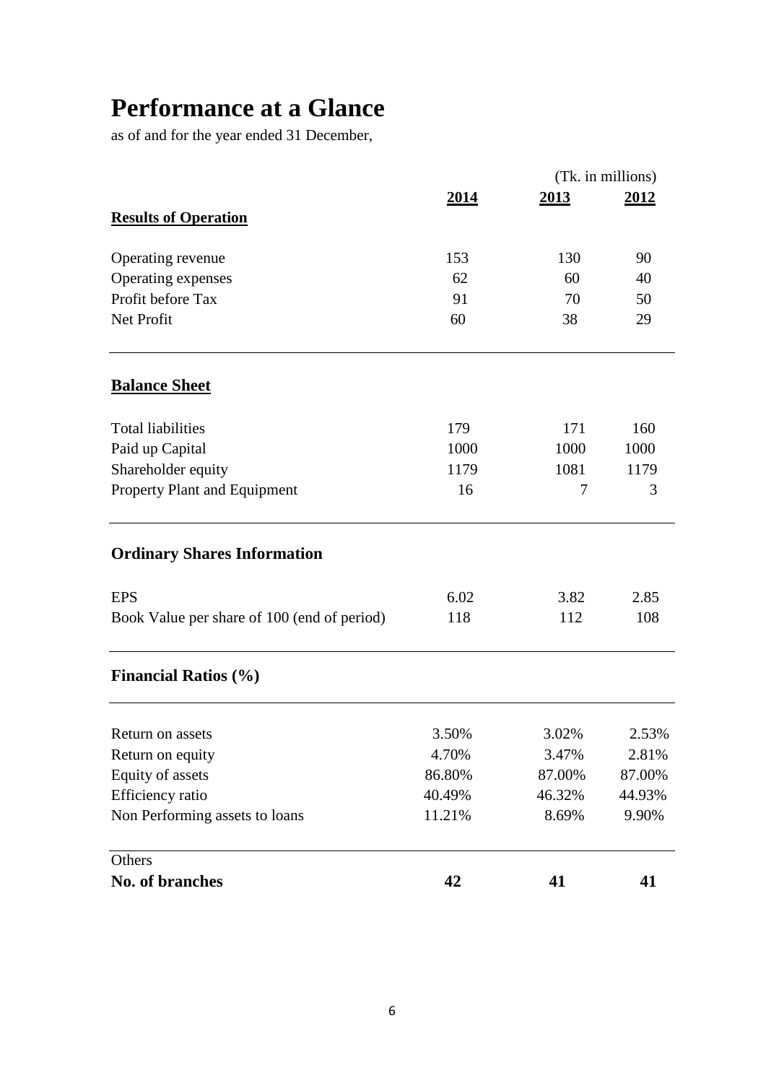# **Performance at a Glance**

as of and for the year ended 31 December,

|                                             |        |        | (Tk. in millions) |
|---------------------------------------------|--------|--------|-------------------|
|                                             | 2014   | 2013   | <u>2012</u>       |
| <b>Results of Operation</b>                 |        |        |                   |
| Operating revenue                           | 153    | 130    | 90                |
| Operating expenses                          | 62     | 60     | 40                |
| Profit before Tax                           | 91     | 70     | 50                |
| Net Profit                                  | 60     | 38     | 29                |
| <b>Balance Sheet</b>                        |        |        |                   |
| <b>Total liabilities</b>                    | 179    | 171    | 160               |
| Paid up Capital                             | 1000   | 1000   | 1000              |
| Shareholder equity                          | 1179   | 1081   | 1179              |
| Property Plant and Equipment                | 16     | 7      | 3                 |
| <b>Ordinary Shares Information</b>          |        |        |                   |
| <b>EPS</b>                                  | 6.02   | 3.82   | 2.85              |
| Book Value per share of 100 (end of period) | 118    | 112    | 108               |
| <b>Financial Ratios (%)</b>                 |        |        |                   |
| Return on assets                            | 3.50%  | 3.02%  | 2.53%             |
| Return on equity                            | 4.70%  | 3.47%  | 2.81%             |
| Equity of assets                            | 86.80% | 87.00% | 87.00%            |
| Efficiency ratio                            | 40.49% | 46.32% | 44.93%            |
| Non Performing assets to loans              | 11.21% | 8.69%  | 9.90%             |
| Others                                      |        |        |                   |
| <b>No. of branches</b>                      | 42     | 41     | 41                |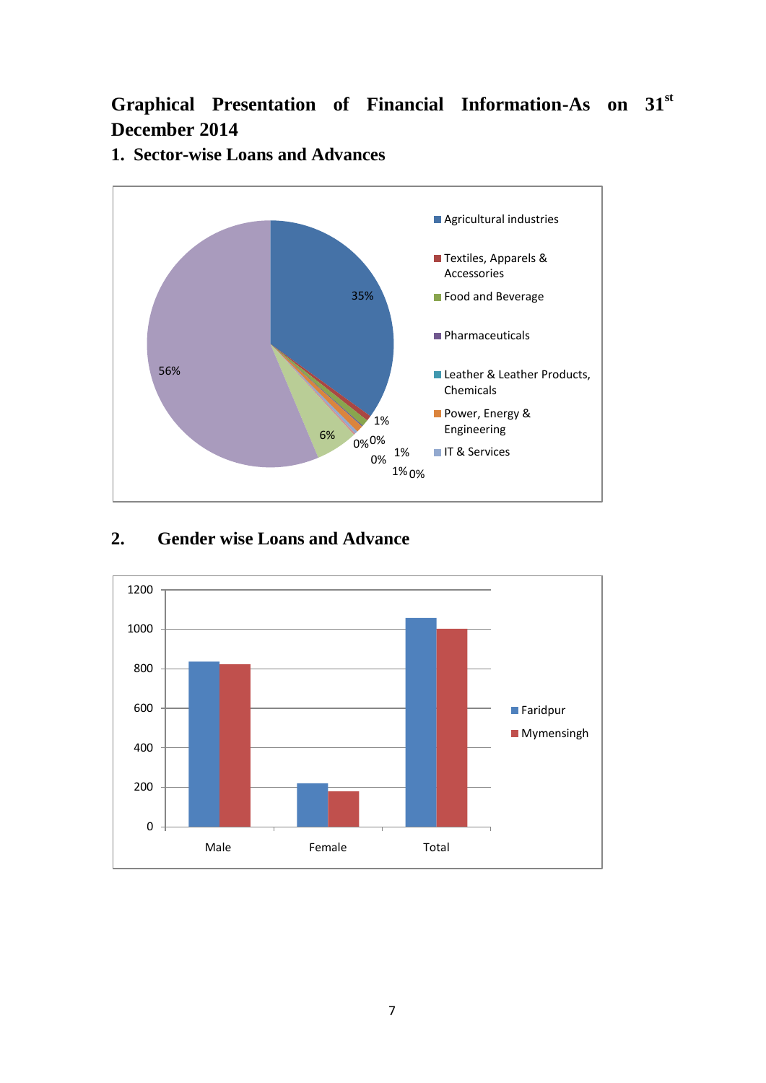# **Graphical Presentation of Financial Information-As on 31st December 2014**



#### **1. Sector-wise Loans and Advances**

#### **2. Gender wise Loans and Advance**

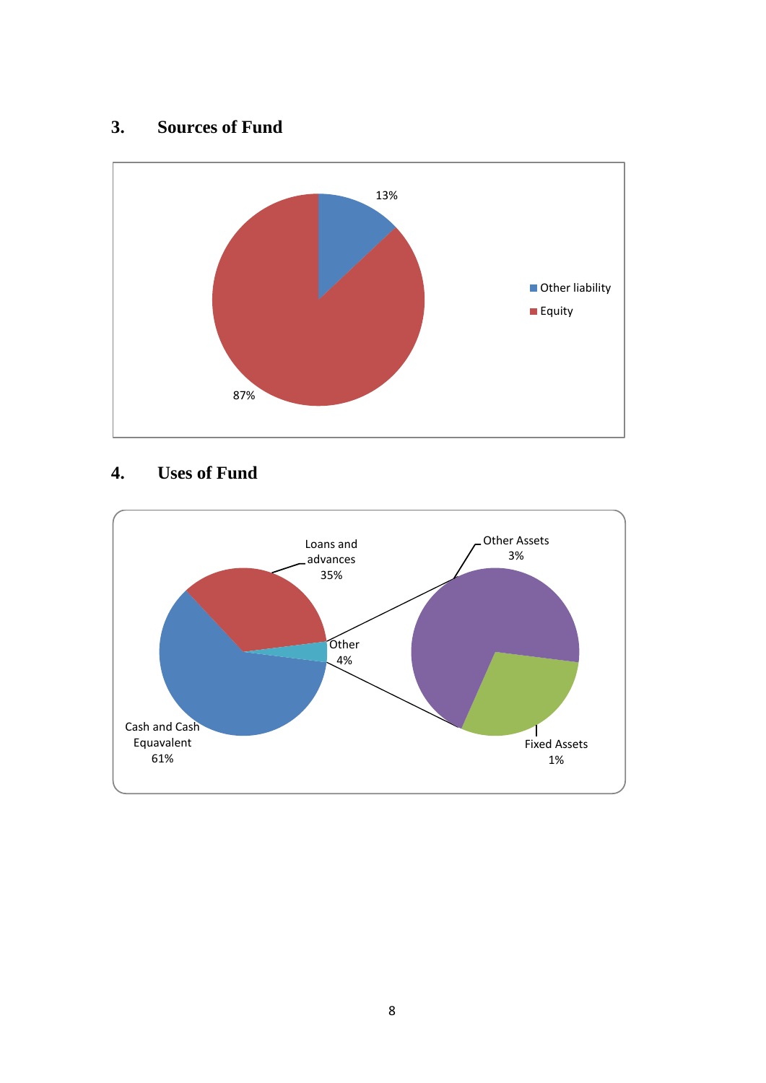## **3. Sources of Fund**



### **4. Uses of Fund**

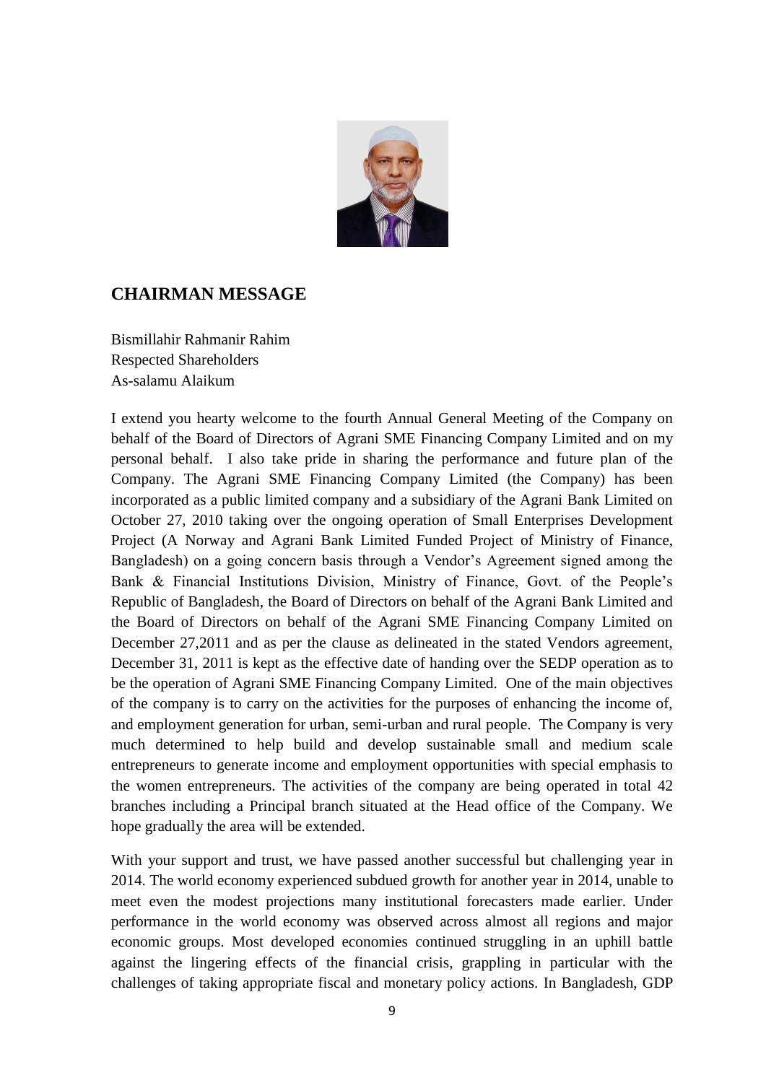

#### **CHAIRMAN MESSAGE**

Bismillahir Rahmanir Rahim Respected Shareholders As-salamu Alaikum

I extend you hearty welcome to the fourth Annual General Meeting of the Company on behalf of the Board of Directors of Agrani SME Financing Company Limited and on my personal behalf. I also take pride in sharing the performance and future plan of the Company. The Agrani SME Financing Company Limited (the Company) has been incorporated as a public limited company and a subsidiary of the Agrani Bank Limited on October 27, 2010 taking over the ongoing operation of Small Enterprises Development Project (A Norway and Agrani Bank Limited Funded Project of Ministry of Finance, Bangladesh) on a going concern basis through a Vendor's Agreement signed among the Bank & Financial Institutions Division, Ministry of Finance, Govt. of the People's Republic of Bangladesh, the Board of Directors on behalf of the Agrani Bank Limited and the Board of Directors on behalf of the Agrani SME Financing Company Limited on December 27,2011 and as per the clause as delineated in the stated Vendors agreement, December 31, 2011 is kept as the effective date of handing over the SEDP operation as to be the operation of Agrani SME Financing Company Limited. One of the main objectives of the company is to carry on the activities for the purposes of enhancing the income of, and employment generation for urban, semi-urban and rural people. The Company is very much determined to help build and develop sustainable small and medium scale entrepreneurs to generate income and employment opportunities with special emphasis to the women entrepreneurs. The activities of the company are being operated in total 42 branches including a Principal branch situated at the Head office of the Company. We hope gradually the area will be extended.

With your support and trust, we have passed another successful but challenging year in 2014. The world economy experienced subdued growth for another year in 2014, unable to meet even the modest projections many institutional forecasters made earlier. Under performance in the world economy was observed across almost all regions and major economic groups. Most developed economies continued struggling in an uphill battle against the lingering effects of the financial crisis, grappling in particular with the challenges of taking appropriate fiscal and monetary policy actions. In Bangladesh, GDP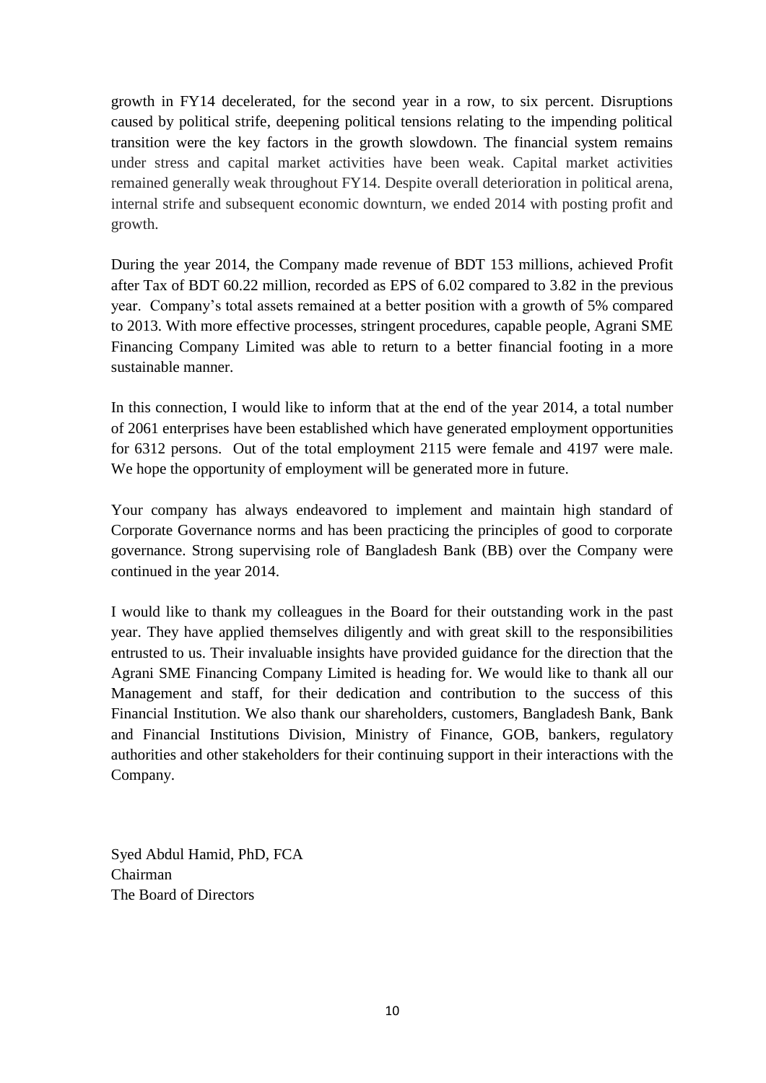growth in FY14 decelerated, for the second year in a row, to six percent. Disruptions caused by political strife, deepening political tensions relating to the impending political transition were the key factors in the growth slowdown. The financial system remains under stress and capital market activities have been weak. Capital market activities remained generally weak throughout FY14. Despite overall deterioration in political arena, internal strife and subsequent economic downturn, we ended 2014 with posting profit and growth.

During the year 2014, the Company made revenue of BDT 153 millions, achieved Profit after Tax of BDT 60.22 million, recorded as EPS of 6.02 compared to 3.82 in the previous year. Company's total assets remained at a better position with a growth of 5% compared to 2013. With more effective processes, stringent procedures, capable people, Agrani SME Financing Company Limited was able to return to a better financial footing in a more sustainable manner.

In this connection, I would like to inform that at the end of the year 2014, a total number of 2061 enterprises have been established which have generated employment opportunities for 6312 persons. Out of the total employment 2115 were female and 4197 were male. We hope the opportunity of employment will be generated more in future.

Your company has always endeavored to implement and maintain high standard of Corporate Governance norms and has been practicing the principles of good to corporate governance. Strong supervising role of Bangladesh Bank (BB) over the Company were continued in the year 2014.

I would like to thank my colleagues in the Board for their outstanding work in the past year. They have applied themselves diligently and with great skill to the responsibilities entrusted to us. Their invaluable insights have provided guidance for the direction that the Agrani SME Financing Company Limited is heading for. We would like to thank all our Management and staff, for their dedication and contribution to the success of this Financial Institution. We also thank our shareholders, customers, Bangladesh Bank, Bank and Financial Institutions Division, Ministry of Finance, GOB, bankers, regulatory authorities and other stakeholders for their continuing support in their interactions with the Company.

Syed Abdul Hamid, PhD, FCA Chairman The Board of Directors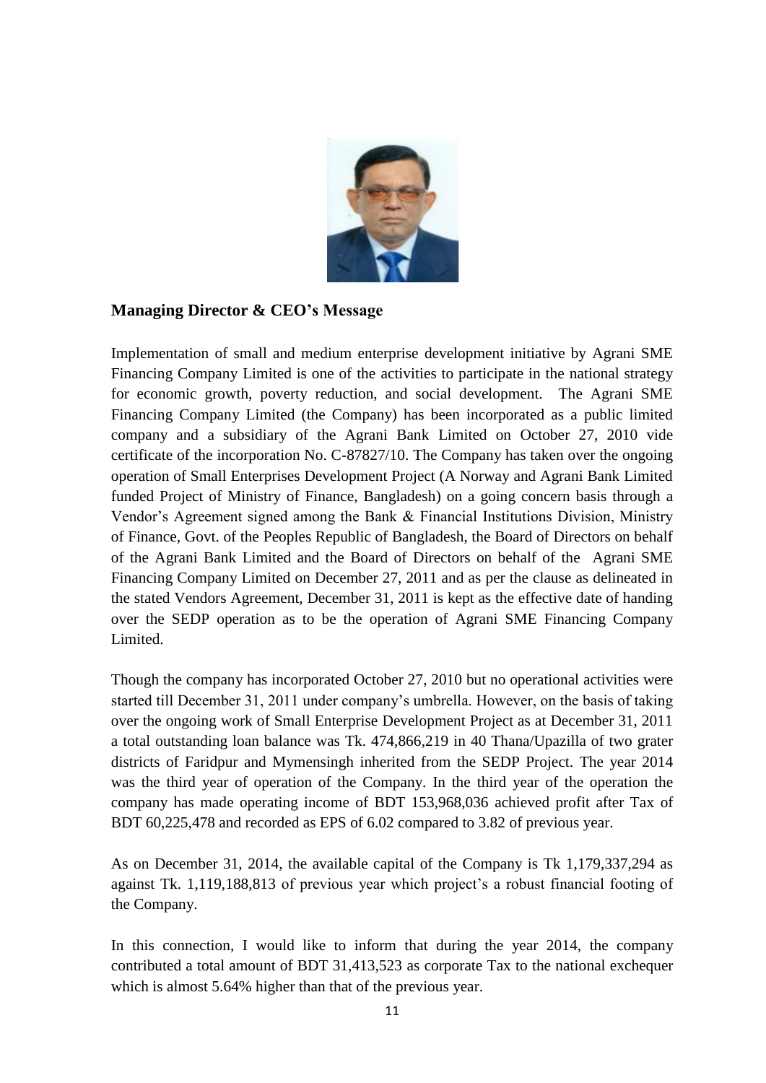

#### **Managing Director & CEO's Message**

Implementation of small and medium enterprise development initiative by Agrani SME Financing Company Limited is one of the activities to participate in the national strategy for economic growth, poverty reduction, and social development. The Agrani SME Financing Company Limited (the Company) has been incorporated as a public limited company and a subsidiary of the Agrani Bank Limited on October 27, 2010 vide certificate of the incorporation No. C-87827/10. The Company has taken over the ongoing operation of Small Enterprises Development Project (A Norway and Agrani Bank Limited funded Project of Ministry of Finance, Bangladesh) on a going concern basis through a Vendor's Agreement signed among the Bank & Financial Institutions Division, Ministry of Finance, Govt. of the Peoples Republic of Bangladesh, the Board of Directors on behalf of the Agrani Bank Limited and the Board of Directors on behalf of the Agrani SME Financing Company Limited on December 27, 2011 and as per the clause as delineated in the stated Vendors Agreement, December 31, 2011 is kept as the effective date of handing over the SEDP operation as to be the operation of Agrani SME Financing Company Limited.

Though the company has incorporated October 27, 2010 but no operational activities were started till December 31, 2011 under company's umbrella. However, on the basis of taking over the ongoing work of Small Enterprise Development Project as at December 31, 2011 a total outstanding loan balance was Tk. 474,866,219 in 40 Thana/Upazilla of two grater districts of Faridpur and Mymensingh inherited from the SEDP Project. The year 2014 was the third year of operation of the Company. In the third year of the operation the company has made operating income of BDT 153,968,036 achieved profit after Tax of BDT 60,225,478 and recorded as EPS of 6.02 compared to 3.82 of previous year.

As on December 31, 2014, the available capital of the Company is Tk 1,179,337,294 as against Tk. 1,119,188,813 of previous year which project's a robust financial footing of the Company.

In this connection, I would like to inform that during the year 2014, the company contributed a total amount of BDT 31,413,523 as corporate Tax to the national exchequer which is almost 5.64% higher than that of the previous year.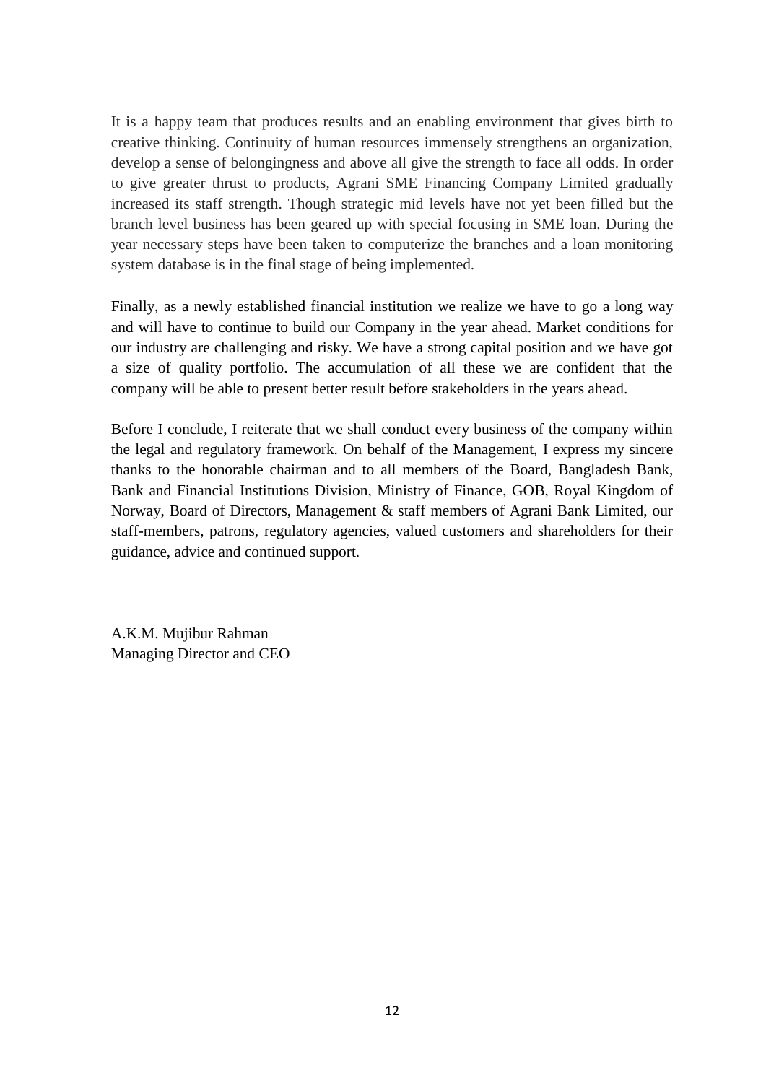It is a happy team that produces results and an enabling environment that gives birth to creative thinking. Continuity of human resources immensely strengthens an organization, develop a sense of belongingness and above all give the strength to face all odds. In order to give greater thrust to products, Agrani SME Financing Company Limited gradually increased its staff strength. Though strategic mid levels have not yet been filled but the branch level business has been geared up with special focusing in SME loan. During the year necessary steps have been taken to computerize the branches and a loan monitoring system database is in the final stage of being implemented.

Finally, as a newly established financial institution we realize we have to go a long way and will have to continue to build our Company in the year ahead. Market conditions for our industry are challenging and risky. We have a strong capital position and we have got a size of quality portfolio. The accumulation of all these we are confident that the company will be able to present better result before stakeholders in the years ahead.

Before I conclude, I reiterate that we shall conduct every business of the company within the legal and regulatory framework. On behalf of the Management, I express my sincere thanks to the honorable chairman and to all members of the Board, Bangladesh Bank, Bank and Financial Institutions Division, Ministry of Finance, GOB, Royal Kingdom of Norway, Board of Directors, Management & staff members of Agrani Bank Limited, our staff-members, patrons, regulatory agencies, valued customers and shareholders for their guidance, advice and continued support.

A.K.M. Mujibur Rahman Managing Director and CEO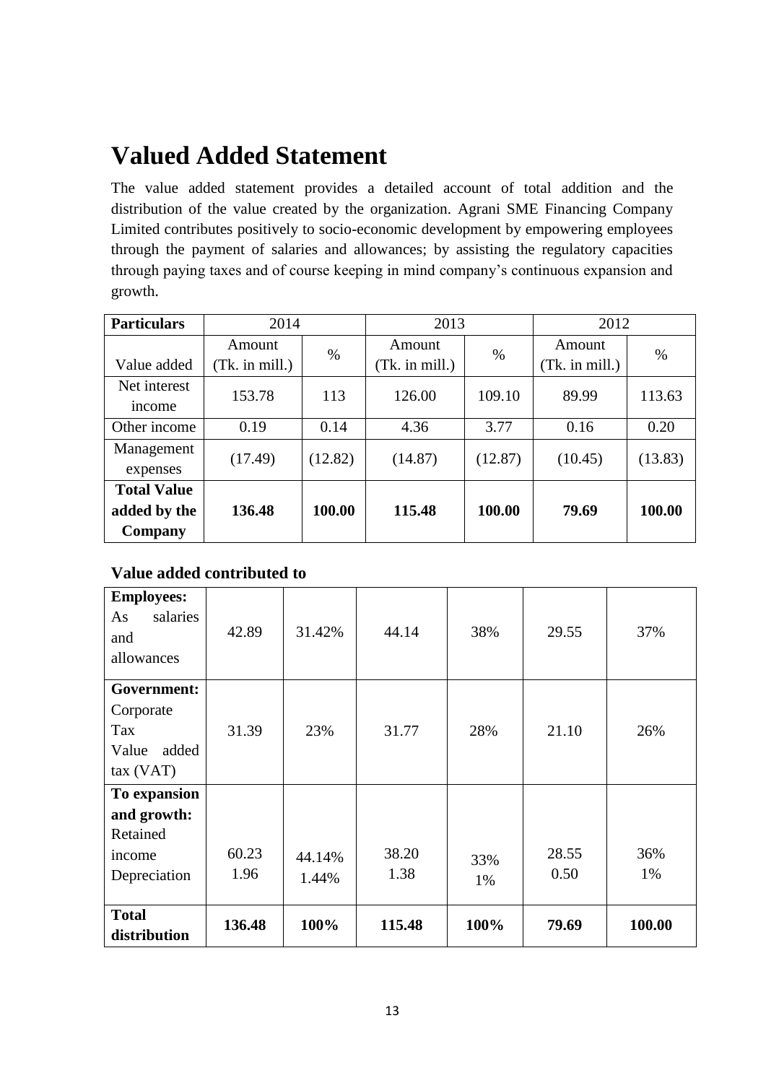# **Valued Added Statement**

The value added statement provides a detailed account of total addition and the distribution of the value created by the organization. Agrani SME Financing Company Limited contributes positively to socio-economic development by empowering employees through the payment of salaries and allowances; by assisting the regulatory capacities through paying taxes and of course keeping in mind company's continuous expansion and growth.

| 2014<br><b>Particulars</b> |                | 2013    |                | 2012    |                |         |
|----------------------------|----------------|---------|----------------|---------|----------------|---------|
|                            | Amount         | $\%$    | Amount         | %       | Amount         | $\%$    |
| Value added                | (Tk. in mill.) |         | (Tk. in mill.) |         | (Tk. in mill.) |         |
| Net interest<br>income     | 153.78         | 113     | 126.00         | 109.10  | 89.99          | 113.63  |
| Other income               | 0.19           | 0.14    | 4.36           | 3.77    | 0.16           | 0.20    |
| Management<br>expenses     | (17.49)        | (12.82) | (14.87)        | (12.87) | (10.45)        | (13.83) |
| <b>Total Value</b>         |                |         |                |         |                |         |
| added by the               | 136.48         | 100.00  | 115.48         | 100.00  | 79.69          | 100.00  |
| Company                    |                |         |                |         |                |         |

**Value added contributed to**

| <b>Employees:</b><br>salaries<br>As<br>and<br>allowances                          | 42.89         | 31.42%          | 44.14         | 38%       | 29.55         | 37%       |
|-----------------------------------------------------------------------------------|---------------|-----------------|---------------|-----------|---------------|-----------|
| Government:<br>Corporate<br>Tax<br>Value<br>added<br>tax (VAT)                    | 31.39         | 23%             | 31.77         | 28%       | 21.10         | 26%       |
| To expansion<br>and growth:<br>Retained<br>income<br>Depreciation<br><b>Total</b> | 60.23<br>1.96 | 44.14%<br>1.44% | 38.20<br>1.38 | 33%<br>1% | 28.55<br>0.50 | 36%<br>1% |
| distribution                                                                      | 136.48        | 100%            | 115.48        | 100%      | 79.69         | 100.00    |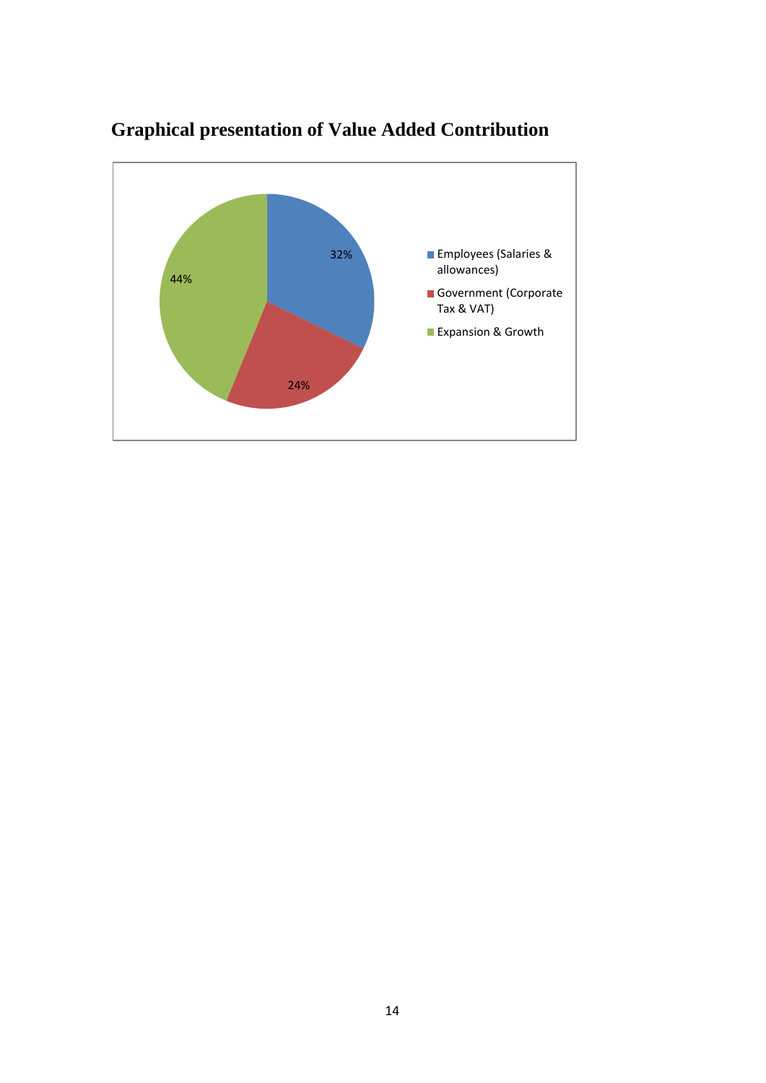

# **Graphical presentation of Value Added Contribution**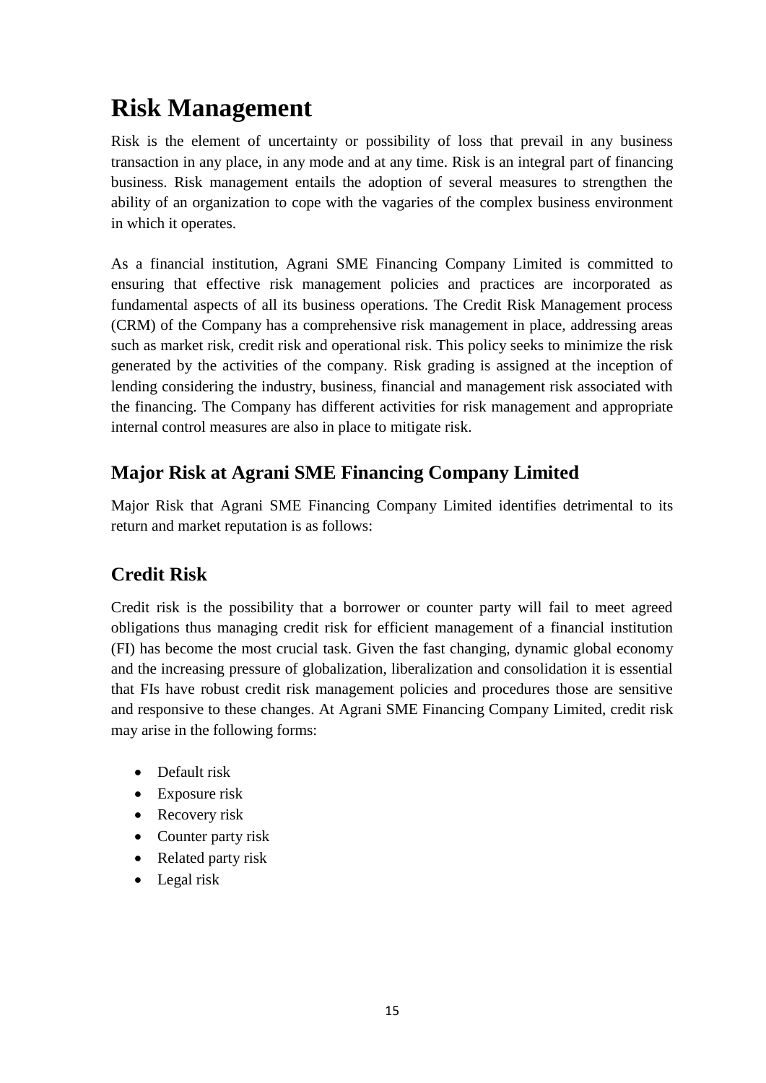# **Risk Management**

Risk is the element of uncertainty or possibility of loss that prevail in any business transaction in any place, in any mode and at any time. Risk is an integral part of financing business. Risk management entails the adoption of several measures to strengthen the ability of an organization to cope with the vagaries of the complex business environment in which it operates.

As a financial institution, Agrani SME Financing Company Limited is committed to ensuring that effective risk management policies and practices are incorporated as fundamental aspects of all its business operations. The Credit Risk Management process (CRM) of the Company has a comprehensive risk management in place, addressing areas such as market risk, credit risk and operational risk. This policy seeks to minimize the risk generated by the activities of the company. Risk grading is assigned at the inception of lending considering the industry, business, financial and management risk associated with the financing. The Company has different activities for risk management and appropriate internal control measures are also in place to mitigate risk.

## **Major Risk at Agrani SME Financing Company Limited**

Major Risk that Agrani SME Financing Company Limited identifies detrimental to its return and market reputation is as follows:

## **Credit Risk**

Credit risk is the possibility that a borrower or counter party will fail to meet agreed obligations thus managing credit risk for efficient management of a financial institution (FI) has become the most crucial task. Given the fast changing, dynamic global economy and the increasing pressure of globalization, liberalization and consolidation it is essential that FIs have robust credit risk management policies and procedures those are sensitive and responsive to these changes. At Agrani SME Financing Company Limited, credit risk may arise in the following forms:

- Default risk
- Exposure risk
- Recovery risk
- Counter party risk
- Related party risk
- Legal risk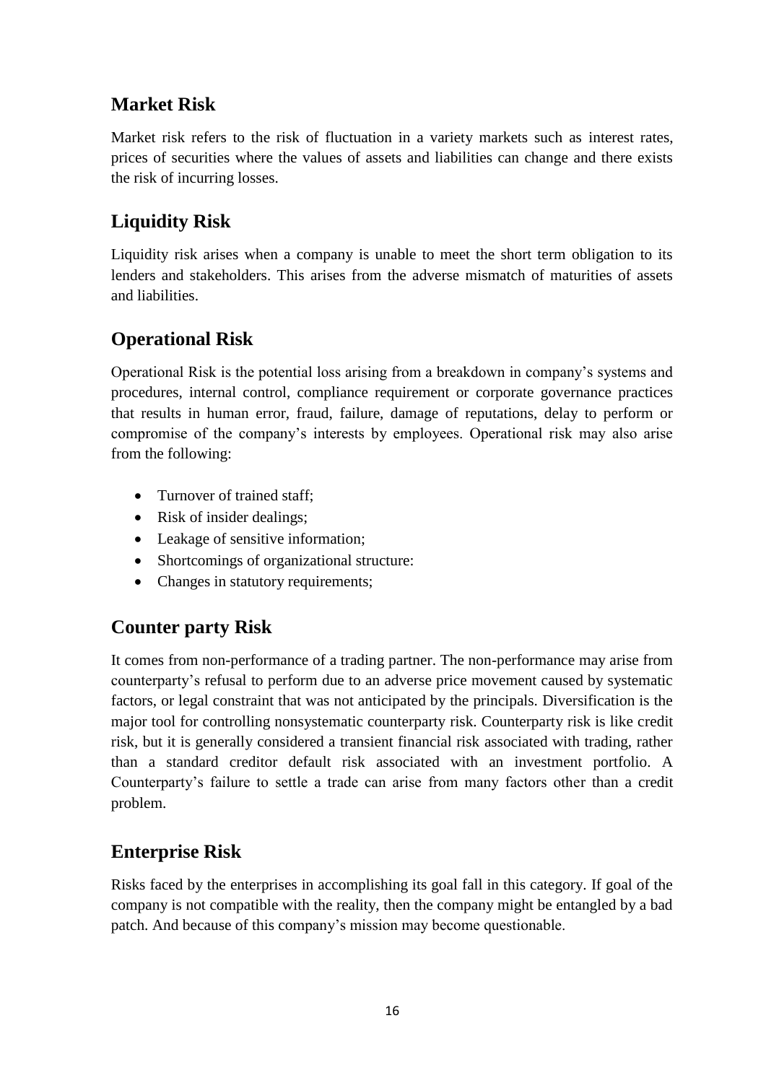## **Market Risk**

Market risk refers to the risk of fluctuation in a variety markets such as interest rates, prices of securities where the values of assets and liabilities can change and there exists the risk of incurring losses.

## **Liquidity Risk**

Liquidity risk arises when a company is unable to meet the short term obligation to its lenders and stakeholders. This arises from the adverse mismatch of maturities of assets and liabilities.

## **Operational Risk**

Operational Risk is the potential loss arising from a breakdown in company's systems and procedures, internal control, compliance requirement or corporate governance practices that results in human error, fraud, failure, damage of reputations, delay to perform or compromise of the company's interests by employees. Operational risk may also arise from the following:

- Turnover of trained staff;
- Risk of insider dealings;
- Leakage of sensitive information;
- Shortcomings of organizational structure:
- Changes in statutory requirements;

## **Counter party Risk**

It comes from non-performance of a trading partner. The non-performance may arise from counterparty's refusal to perform due to an adverse price movement caused by systematic factors, or legal constraint that was not anticipated by the principals. Diversification is the major tool for controlling nonsystematic counterparty risk. Counterparty risk is like credit risk, but it is generally considered a transient financial risk associated with trading, rather than a standard creditor default risk associated with an investment portfolio. A Counterparty's failure to settle a trade can arise from many factors other than a credit problem.

## **Enterprise Risk**

Risks faced by the enterprises in accomplishing its goal fall in this category. If goal of the company is not compatible with the reality, then the company might be entangled by a bad patch. And because of this company's mission may become questionable.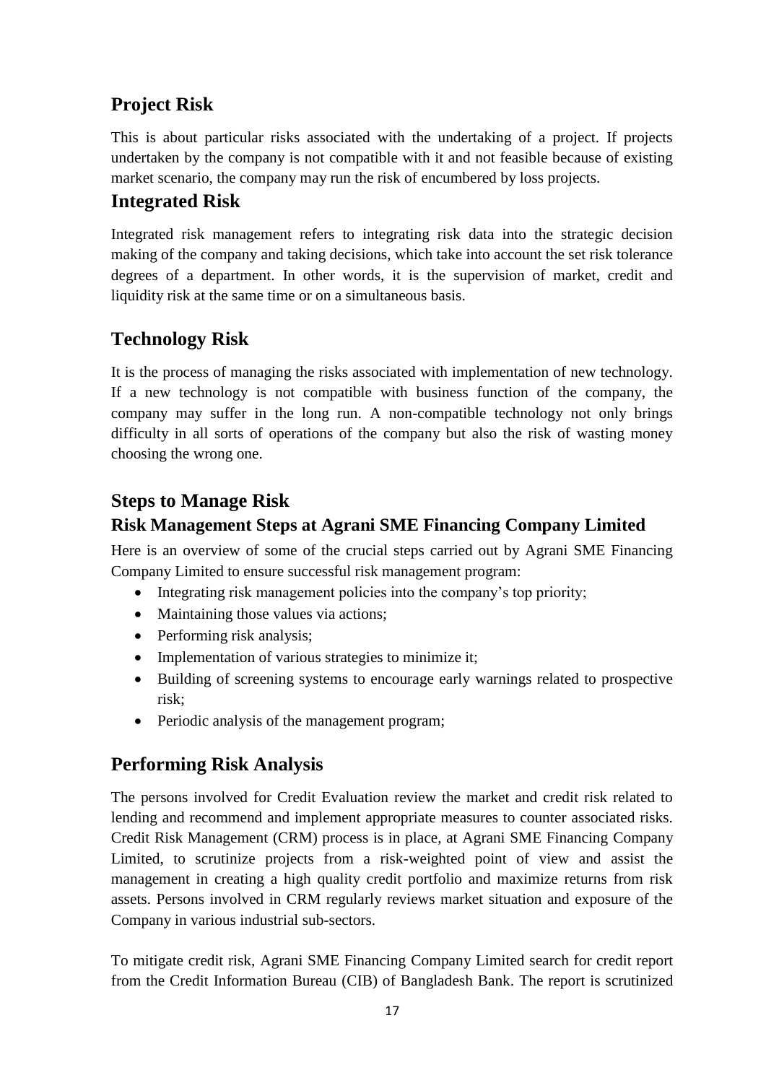# **Project Risk**

This is about particular risks associated with the undertaking of a project. If projects undertaken by the company is not compatible with it and not feasible because of existing market scenario, the company may run the risk of encumbered by loss projects.

## **Integrated Risk**

Integrated risk management refers to integrating risk data into the strategic decision making of the company and taking decisions, which take into account the set risk tolerance degrees of a department. In other words, it is the supervision of market, credit and liquidity risk at the same time or on a simultaneous basis.

## **Technology Risk**

It is the process of managing the risks associated with implementation of new technology. If a new technology is not compatible with business function of the company, the company may suffer in the long run. A non-compatible technology not only brings difficulty in all sorts of operations of the company but also the risk of wasting money choosing the wrong one.

## **Steps to Manage Risk**

#### **Risk Management Steps at Agrani SME Financing Company Limited**

Here is an overview of some of the crucial steps carried out by Agrani SME Financing Company Limited to ensure successful risk management program:

- Integrating risk management policies into the company's top priority;
- Maintaining those values via actions;
- Performing risk analysis;
- Implementation of various strategies to minimize it;
- Building of screening systems to encourage early warnings related to prospective risk;
- Periodic analysis of the management program;

## **Performing Risk Analysis**

The persons involved for Credit Evaluation review the market and credit risk related to lending and recommend and implement appropriate measures to counter associated risks. Credit Risk Management (CRM) process is in place, at Agrani SME Financing Company Limited, to scrutinize projects from a risk-weighted point of view and assist the management in creating a high quality credit portfolio and maximize returns from risk assets. Persons involved in CRM regularly reviews market situation and exposure of the Company in various industrial sub-sectors.

To mitigate credit risk, Agrani SME Financing Company Limited search for credit report from the Credit Information Bureau (CIB) of Bangladesh Bank. The report is scrutinized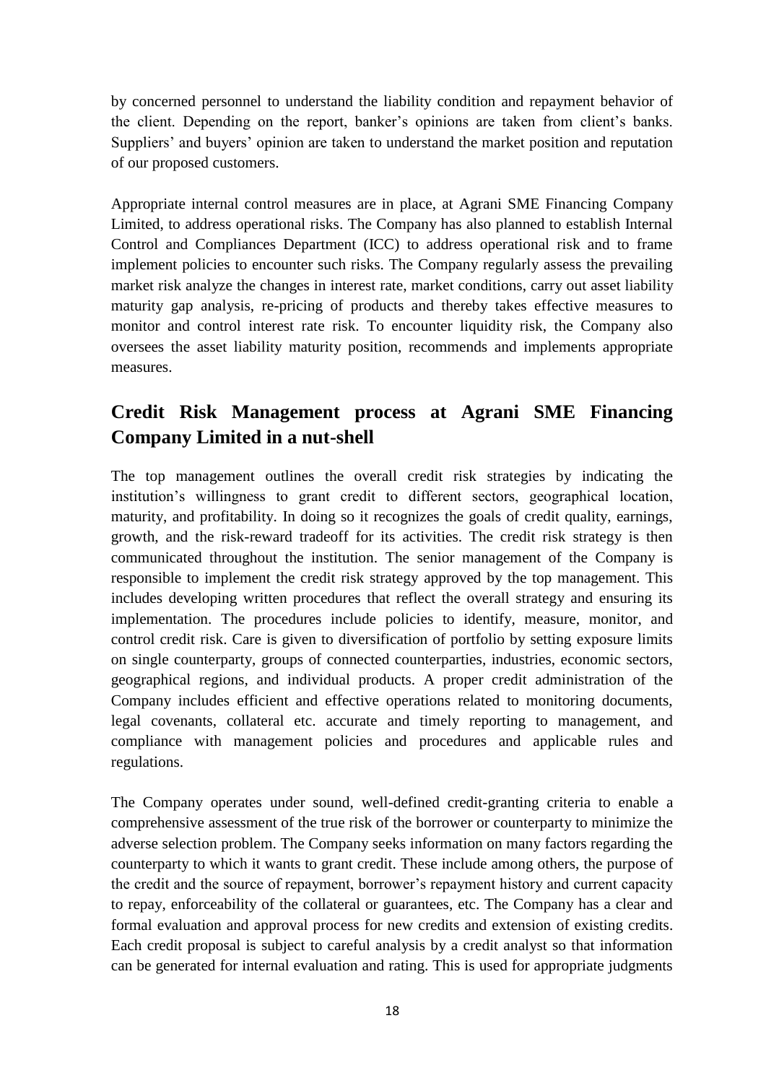by concerned personnel to understand the liability condition and repayment behavior of the client. Depending on the report, banker's opinions are taken from client's banks. Suppliers' and buyers' opinion are taken to understand the market position and reputation of our proposed customers.

Appropriate internal control measures are in place, at Agrani SME Financing Company Limited, to address operational risks. The Company has also planned to establish Internal Control and Compliances Department (ICC) to address operational risk and to frame implement policies to encounter such risks. The Company regularly assess the prevailing market risk analyze the changes in interest rate, market conditions, carry out asset liability maturity gap analysis, re-pricing of products and thereby takes effective measures to monitor and control interest rate risk. To encounter liquidity risk, the Company also oversees the asset liability maturity position, recommends and implements appropriate measures.

## **Credit Risk Management process at Agrani SME Financing Company Limited in a nut-shell**

The top management outlines the overall credit risk strategies by indicating the institution's willingness to grant credit to different sectors, geographical location, maturity, and profitability. In doing so it recognizes the goals of credit quality, earnings, growth, and the risk-reward tradeoff for its activities. The credit risk strategy is then communicated throughout the institution. The senior management of the Company is responsible to implement the credit risk strategy approved by the top management. This includes developing written procedures that reflect the overall strategy and ensuring its implementation. The procedures include policies to identify, measure, monitor, and control credit risk. Care is given to diversification of portfolio by setting exposure limits on single counterparty, groups of connected counterparties, industries, economic sectors, geographical regions, and individual products. A proper credit administration of the Company includes efficient and effective operations related to monitoring documents, legal covenants, collateral etc. accurate and timely reporting to management, and compliance with management policies and procedures and applicable rules and regulations.

The Company operates under sound, well-defined credit-granting criteria to enable a comprehensive assessment of the true risk of the borrower or counterparty to minimize the adverse selection problem. The Company seeks information on many factors regarding the counterparty to which it wants to grant credit. These include among others, the purpose of the credit and the source of repayment, borrower's repayment history and current capacity to repay, enforceability of the collateral or guarantees, etc. The Company has a clear and formal evaluation and approval process for new credits and extension of existing credits. Each credit proposal is subject to careful analysis by a credit analyst so that information can be generated for internal evaluation and rating. This is used for appropriate judgments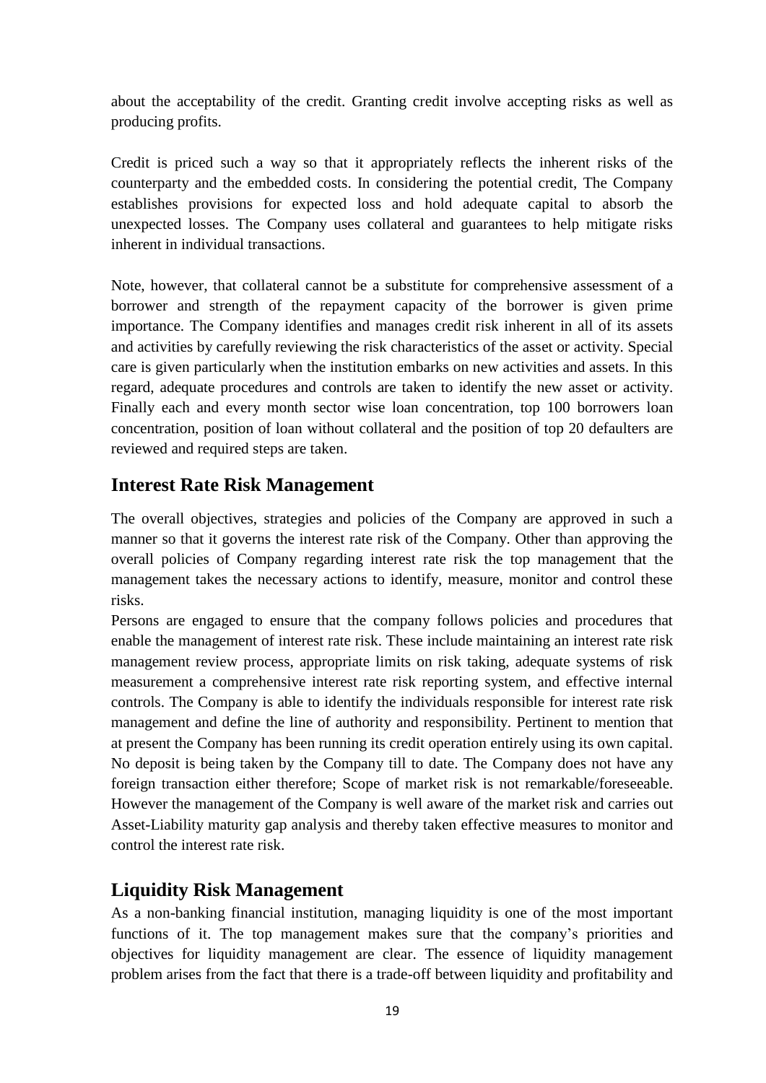about the acceptability of the credit. Granting credit involve accepting risks as well as producing profits.

Credit is priced such a way so that it appropriately reflects the inherent risks of the counterparty and the embedded costs. In considering the potential credit, The Company establishes provisions for expected loss and hold adequate capital to absorb the unexpected losses. The Company uses collateral and guarantees to help mitigate risks inherent in individual transactions.

Note, however, that collateral cannot be a substitute for comprehensive assessment of a borrower and strength of the repayment capacity of the borrower is given prime importance. The Company identifies and manages credit risk inherent in all of its assets and activities by carefully reviewing the risk characteristics of the asset or activity. Special care is given particularly when the institution embarks on new activities and assets. In this regard, adequate procedures and controls are taken to identify the new asset or activity. Finally each and every month sector wise loan concentration, top 100 borrowers loan concentration, position of loan without collateral and the position of top 20 defaulters are reviewed and required steps are taken.

#### **Interest Rate Risk Management**

The overall objectives, strategies and policies of the Company are approved in such a manner so that it governs the interest rate risk of the Company. Other than approving the overall policies of Company regarding interest rate risk the top management that the management takes the necessary actions to identify, measure, monitor and control these risks.

Persons are engaged to ensure that the company follows policies and procedures that enable the management of interest rate risk. These include maintaining an interest rate risk management review process, appropriate limits on risk taking, adequate systems of risk measurement a comprehensive interest rate risk reporting system, and effective internal controls. The Company is able to identify the individuals responsible for interest rate risk management and define the line of authority and responsibility. Pertinent to mention that at present the Company has been running its credit operation entirely using its own capital. No deposit is being taken by the Company till to date. The Company does not have any foreign transaction either therefore; Scope of market risk is not remarkable/foreseeable. However the management of the Company is well aware of the market risk and carries out Asset-Liability maturity gap analysis and thereby taken effective measures to monitor and control the interest rate risk.

#### **Liquidity Risk Management**

As a non-banking financial institution, managing liquidity is one of the most important functions of it. The top management makes sure that the company's priorities and objectives for liquidity management are clear. The essence of liquidity management problem arises from the fact that there is a trade-off between liquidity and profitability and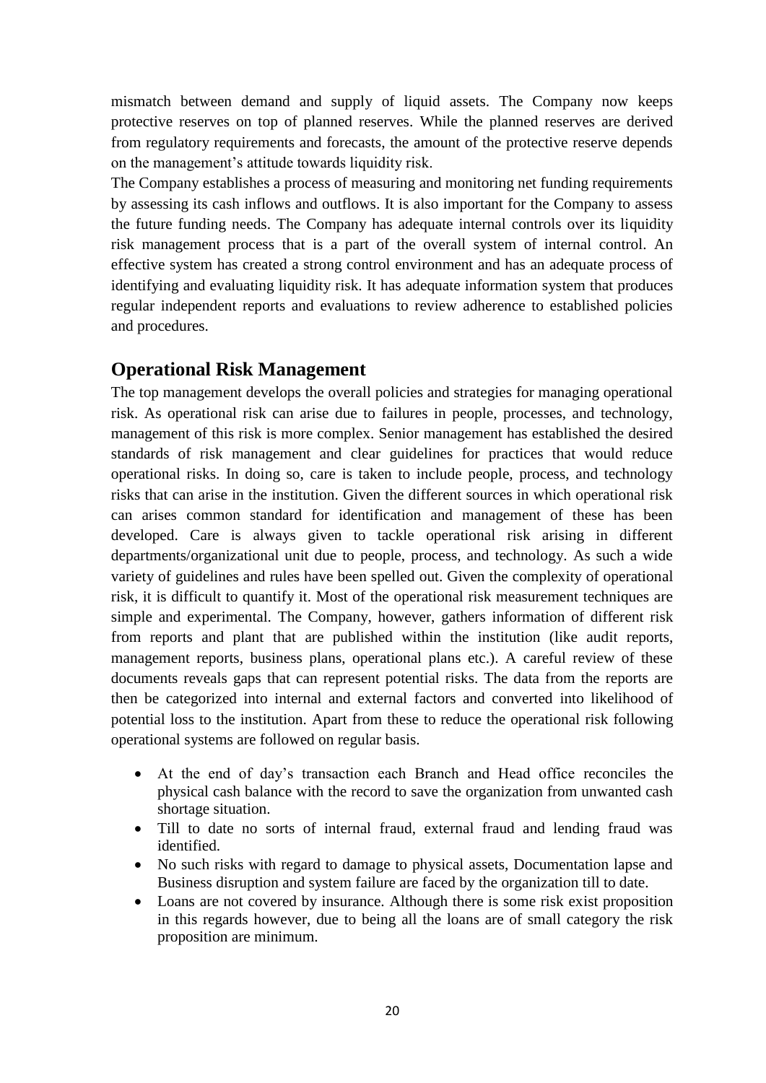mismatch between demand and supply of liquid assets. The Company now keeps protective reserves on top of planned reserves. While the planned reserves are derived from regulatory requirements and forecasts, the amount of the protective reserve depends on the management's attitude towards liquidity risk.

The Company establishes a process of measuring and monitoring net funding requirements by assessing its cash inflows and outflows. It is also important for the Company to assess the future funding needs. The Company has adequate internal controls over its liquidity risk management process that is a part of the overall system of internal control. An effective system has created a strong control environment and has an adequate process of identifying and evaluating liquidity risk. It has adequate information system that produces regular independent reports and evaluations to review adherence to established policies and procedures.

#### **Operational Risk Management**

The top management develops the overall policies and strategies for managing operational risk. As operational risk can arise due to failures in people, processes, and technology, management of this risk is more complex. Senior management has established the desired standards of risk management and clear guidelines for practices that would reduce operational risks. In doing so, care is taken to include people, process, and technology risks that can arise in the institution. Given the different sources in which operational risk can arises common standard for identification and management of these has been developed. Care is always given to tackle operational risk arising in different departments/organizational unit due to people, process, and technology. As such a wide variety of guidelines and rules have been spelled out. Given the complexity of operational risk, it is difficult to quantify it. Most of the operational risk measurement techniques are simple and experimental. The Company, however, gathers information of different risk from reports and plant that are published within the institution (like audit reports, management reports, business plans, operational plans etc.). A careful review of these documents reveals gaps that can represent potential risks. The data from the reports are then be categorized into internal and external factors and converted into likelihood of potential loss to the institution. Apart from these to reduce the operational risk following operational systems are followed on regular basis.

- At the end of day's transaction each Branch and Head office reconciles the physical cash balance with the record to save the organization from unwanted cash shortage situation.
- Till to date no sorts of internal fraud, external fraud and lending fraud was identified.
- No such risks with regard to damage to physical assets, Documentation lapse and Business disruption and system failure are faced by the organization till to date.
- Loans are not covered by insurance. Although there is some risk exist proposition in this regards however, due to being all the loans are of small category the risk proposition are minimum.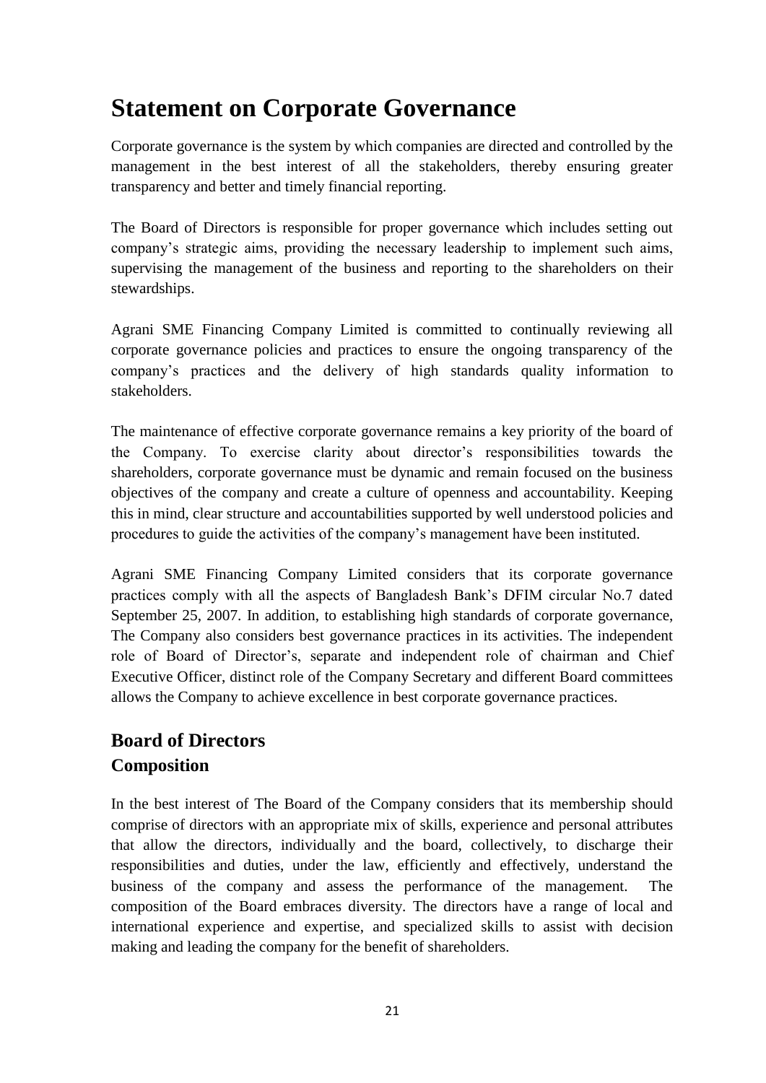# **Statement on Corporate Governance**

Corporate governance is the system by which companies are directed and controlled by the management in the best interest of all the stakeholders, thereby ensuring greater transparency and better and timely financial reporting.

The Board of Directors is responsible for proper governance which includes setting out company's strategic aims, providing the necessary leadership to implement such aims, supervising the management of the business and reporting to the shareholders on their stewardships.

Agrani SME Financing Company Limited is committed to continually reviewing all corporate governance policies and practices to ensure the ongoing transparency of the company's practices and the delivery of high standards quality information to stakeholders.

The maintenance of effective corporate governance remains a key priority of the board of the Company. To exercise clarity about director's responsibilities towards the shareholders, corporate governance must be dynamic and remain focused on the business objectives of the company and create a culture of openness and accountability. Keeping this in mind, clear structure and accountabilities supported by well understood policies and procedures to guide the activities of the company's management have been instituted.

Agrani SME Financing Company Limited considers that its corporate governance practices comply with all the aspects of Bangladesh Bank's DFIM circular No.7 dated September 25, 2007. In addition, to establishing high standards of corporate governance, The Company also considers best governance practices in its activities. The independent role of Board of Director's, separate and independent role of chairman and Chief Executive Officer, distinct role of the Company Secretary and different Board committees allows the Company to achieve excellence in best corporate governance practices.

# **Board of Directors Composition**

In the best interest of The Board of the Company considers that its membership should comprise of directors with an appropriate mix of skills, experience and personal attributes that allow the directors, individually and the board, collectively, to discharge their responsibilities and duties, under the law, efficiently and effectively, understand the business of the company and assess the performance of the management. The composition of the Board embraces diversity. The directors have a range of local and international experience and expertise, and specialized skills to assist with decision making and leading the company for the benefit of shareholders.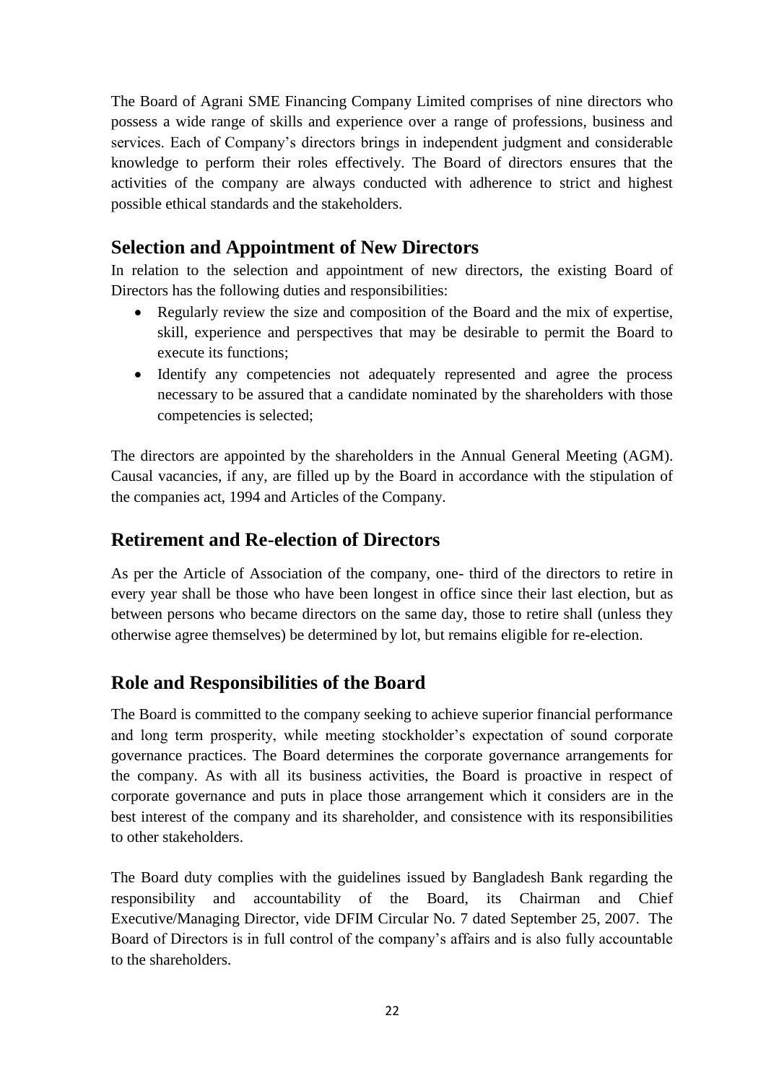The Board of Agrani SME Financing Company Limited comprises of nine directors who possess a wide range of skills and experience over a range of professions, business and services. Each of Company's directors brings in independent judgment and considerable knowledge to perform their roles effectively. The Board of directors ensures that the activities of the company are always conducted with adherence to strict and highest possible ethical standards and the stakeholders.

#### **Selection and Appointment of New Directors**

In relation to the selection and appointment of new directors, the existing Board of Directors has the following duties and responsibilities:

- Regularly review the size and composition of the Board and the mix of expertise, skill, experience and perspectives that may be desirable to permit the Board to execute its functions;
- Identify any competencies not adequately represented and agree the process necessary to be assured that a candidate nominated by the shareholders with those competencies is selected;

The directors are appointed by the shareholders in the Annual General Meeting (AGM). Causal vacancies, if any, are filled up by the Board in accordance with the stipulation of the companies act, 1994 and Articles of the Company.

#### **Retirement and Re-election of Directors**

As per the Article of Association of the company, one- third of the directors to retire in every year shall be those who have been longest in office since their last election, but as between persons who became directors on the same day, those to retire shall (unless they otherwise agree themselves) be determined by lot, but remains eligible for re-election.

## **Role and Responsibilities of the Board**

The Board is committed to the company seeking to achieve superior financial performance and long term prosperity, while meeting stockholder's expectation of sound corporate governance practices. The Board determines the corporate governance arrangements for the company. As with all its business activities, the Board is proactive in respect of corporate governance and puts in place those arrangement which it considers are in the best interest of the company and its shareholder, and consistence with its responsibilities to other stakeholders.

The Board duty complies with the guidelines issued by Bangladesh Bank regarding the responsibility and accountability of the Board, its Chairman and Chief Executive/Managing Director, vide DFIM Circular No. 7 dated September 25, 2007. The Board of Directors is in full control of the company's affairs and is also fully accountable to the shareholders.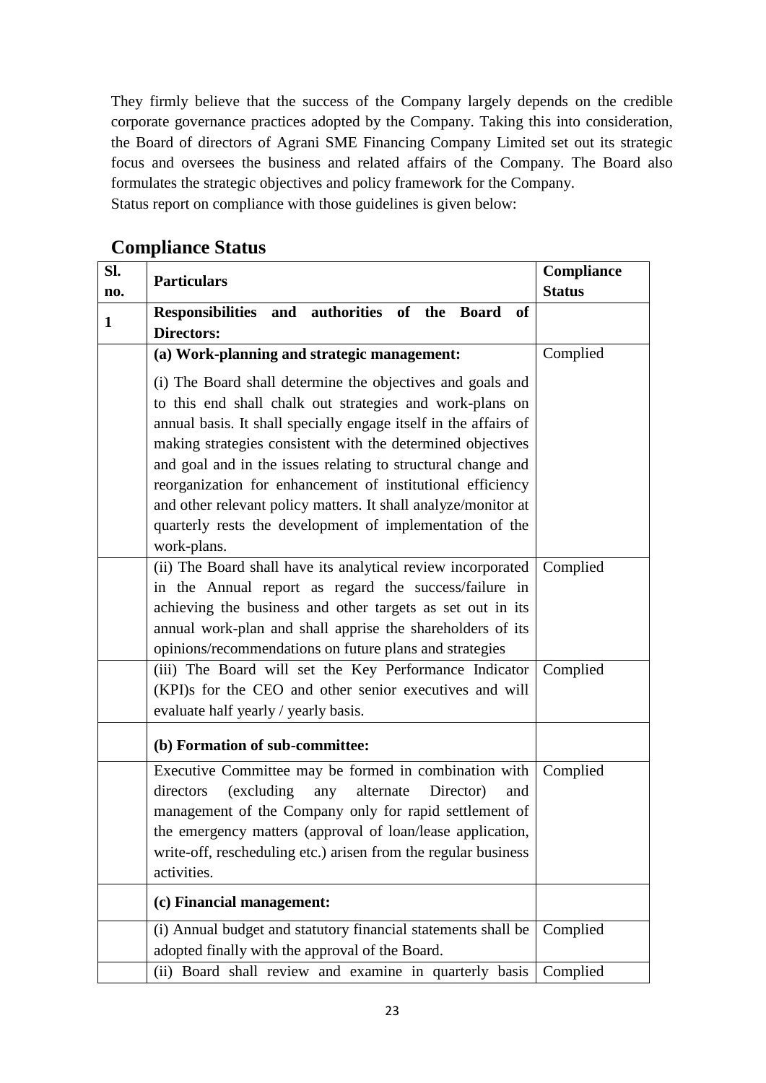They firmly believe that the success of the Company largely depends on the credible corporate governance practices adopted by the Company. Taking this into consideration, the Board of directors of Agrani SME Financing Company Limited set out its strategic focus and oversees the business and related affairs of the Company. The Board also formulates the strategic objectives and policy framework for the Company. Status report on compliance with those guidelines is given below:

| SI.          | <b>Particulars</b>                                                                                                                                                                                                                                                                                                                                                                                                                                                                                                    | Compliance    |
|--------------|-----------------------------------------------------------------------------------------------------------------------------------------------------------------------------------------------------------------------------------------------------------------------------------------------------------------------------------------------------------------------------------------------------------------------------------------------------------------------------------------------------------------------|---------------|
| no.          |                                                                                                                                                                                                                                                                                                                                                                                                                                                                                                                       | <b>Status</b> |
| $\mathbf{1}$ | Responsibilities and authorities of the Board<br>of<br><b>Directors:</b>                                                                                                                                                                                                                                                                                                                                                                                                                                              |               |
|              | (a) Work-planning and strategic management:                                                                                                                                                                                                                                                                                                                                                                                                                                                                           | Complied      |
|              | (i) The Board shall determine the objectives and goals and<br>to this end shall chalk out strategies and work-plans on<br>annual basis. It shall specially engage itself in the affairs of<br>making strategies consistent with the determined objectives<br>and goal and in the issues relating to structural change and<br>reorganization for enhancement of institutional efficiency<br>and other relevant policy matters. It shall analyze/monitor at<br>quarterly rests the development of implementation of the |               |
|              | work-plans.                                                                                                                                                                                                                                                                                                                                                                                                                                                                                                           |               |
|              | (ii) The Board shall have its analytical review incorporated<br>in the Annual report as regard the success/failure in<br>achieving the business and other targets as set out in its<br>annual work-plan and shall apprise the shareholders of its<br>opinions/recommendations on future plans and strategies                                                                                                                                                                                                          | Complied      |
|              | (iii) The Board will set the Key Performance Indicator<br>(KPI)s for the CEO and other senior executives and will<br>evaluate half yearly / yearly basis.                                                                                                                                                                                                                                                                                                                                                             | Complied      |
|              | (b) Formation of sub-committee:                                                                                                                                                                                                                                                                                                                                                                                                                                                                                       |               |
|              | Executive Committee may be formed in combination with<br>(excluding any<br>alternate<br>directors<br>Director)<br>and<br>management of the Company only for rapid settlement of<br>the emergency matters (approval of loan/lease application,<br>write-off, rescheduling etc.) arisen from the regular business<br>activities.                                                                                                                                                                                        | Complied      |
|              | (c) Financial management:                                                                                                                                                                                                                                                                                                                                                                                                                                                                                             |               |
|              | (i) Annual budget and statutory financial statements shall be<br>adopted finally with the approval of the Board.                                                                                                                                                                                                                                                                                                                                                                                                      | Complied      |
|              | (ii) Board shall review and examine in quarterly basis                                                                                                                                                                                                                                                                                                                                                                                                                                                                | Complied      |

#### **Compliance Status**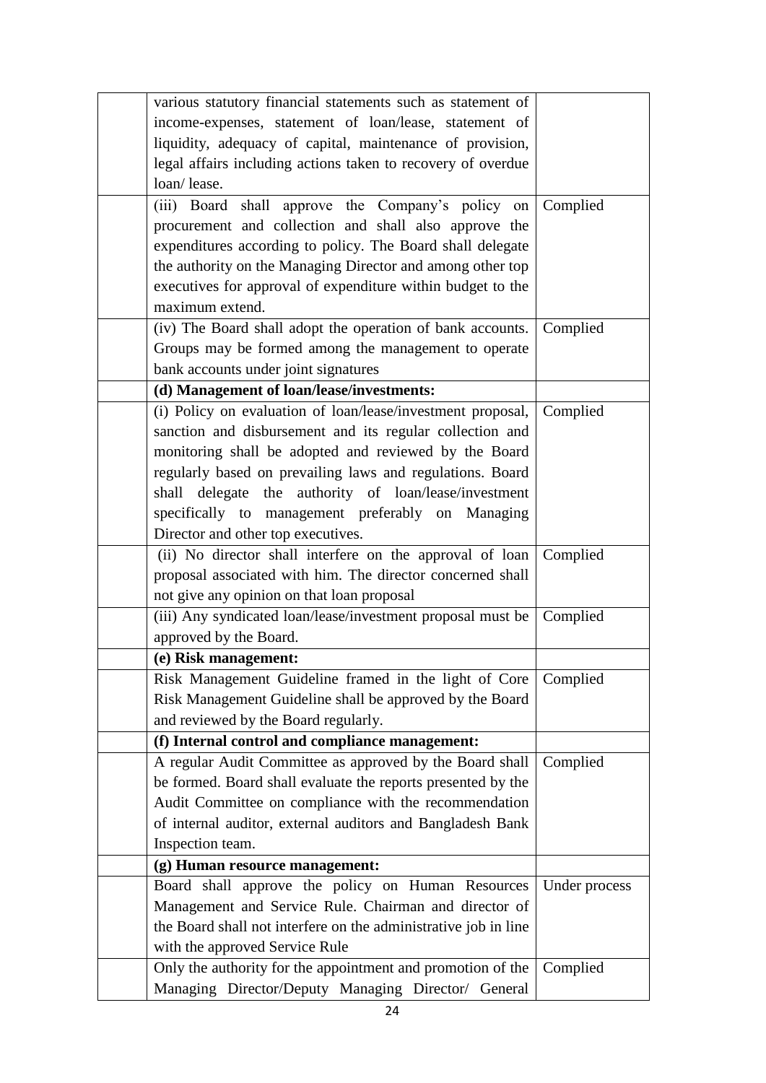| various statutory financial statements such as statement of     |               |
|-----------------------------------------------------------------|---------------|
| income-expenses, statement of loan/lease, statement of          |               |
| liquidity, adequacy of capital, maintenance of provision,       |               |
| legal affairs including actions taken to recovery of overdue    |               |
| loan/lease.                                                     |               |
| (iii) Board shall approve the Company's policy on               | Complied      |
| procurement and collection and shall also approve the           |               |
| expenditures according to policy. The Board shall delegate      |               |
| the authority on the Managing Director and among other top      |               |
| executives for approval of expenditure within budget to the     |               |
| maximum extend.                                                 |               |
| (iv) The Board shall adopt the operation of bank accounts.      | Complied      |
| Groups may be formed among the management to operate            |               |
| bank accounts under joint signatures                            |               |
| (d) Management of loan/lease/investments:                       |               |
| (i) Policy on evaluation of loan/lease/investment proposal,     | Complied      |
| sanction and disbursement and its regular collection and        |               |
| monitoring shall be adopted and reviewed by the Board           |               |
| regularly based on prevailing laws and regulations. Board       |               |
| shall delegate the authority of loan/lease/investment           |               |
| specifically to management preferably on Managing               |               |
| Director and other top executives.                              |               |
| (ii) No director shall interfere on the approval of loan        | Complied      |
| proposal associated with him. The director concerned shall      |               |
| not give any opinion on that loan proposal                      |               |
| (iii) Any syndicated loan/lease/investment proposal must be     | Complied      |
| approved by the Board.                                          |               |
| (e) Risk management:                                            |               |
| Risk Management Guideline framed in the light of Core           | Complied      |
| Risk Management Guideline shall be approved by the Board        |               |
| and reviewed by the Board regularly.                            |               |
| (f) Internal control and compliance management:                 |               |
| A regular Audit Committee as approved by the Board shall        | Complied      |
| be formed. Board shall evaluate the reports presented by the    |               |
| Audit Committee on compliance with the recommendation           |               |
| of internal auditor, external auditors and Bangladesh Bank      |               |
| Inspection team.                                                |               |
| (g) Human resource management:                                  |               |
| Board shall approve the policy on Human Resources               | Under process |
| Management and Service Rule. Chairman and director of           |               |
| the Board shall not interfere on the administrative job in line |               |
| with the approved Service Rule                                  |               |
| Only the authority for the appointment and promotion of the     | Complied      |
| Managing Director/Deputy Managing Director/ General             |               |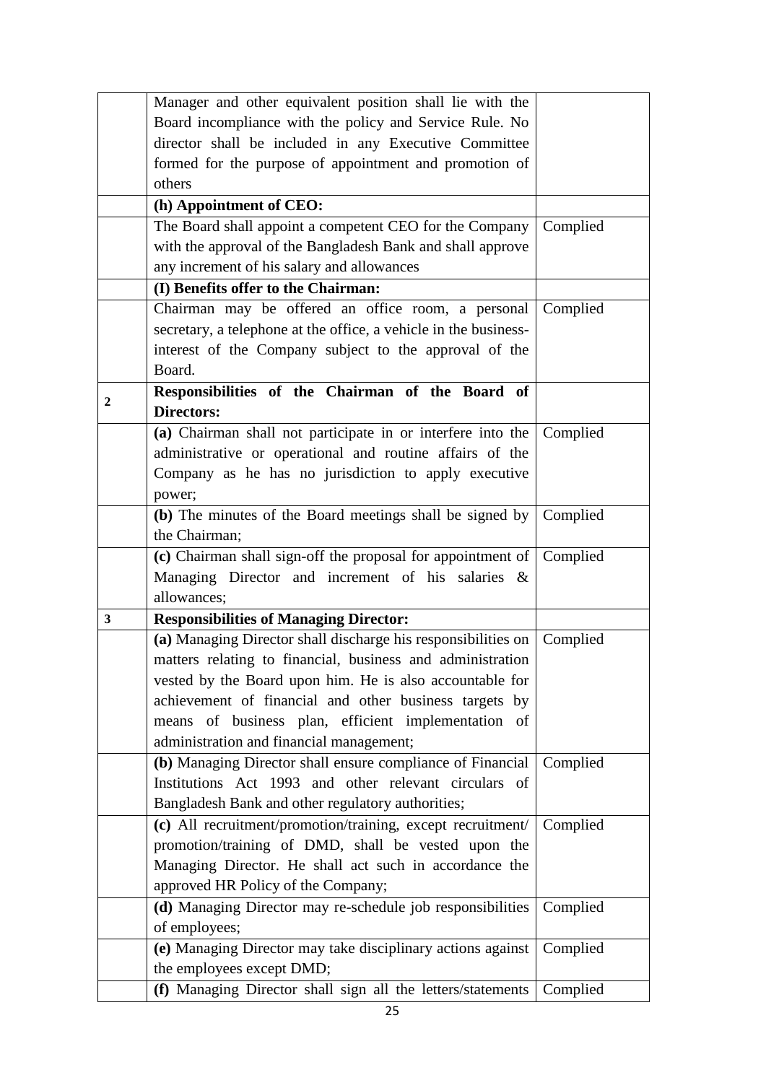|                | Manager and other equivalent position shall lie with the                                                                    |          |
|----------------|-----------------------------------------------------------------------------------------------------------------------------|----------|
|                | Board incompliance with the policy and Service Rule. No                                                                     |          |
|                | director shall be included in any Executive Committee                                                                       |          |
|                | formed for the purpose of appointment and promotion of                                                                      |          |
|                | others                                                                                                                      |          |
|                | (h) Appointment of CEO:                                                                                                     |          |
|                | The Board shall appoint a competent CEO for the Company                                                                     | Complied |
|                | with the approval of the Bangladesh Bank and shall approve                                                                  |          |
|                | any increment of his salary and allowances                                                                                  |          |
|                | (I) Benefits offer to the Chairman:                                                                                         |          |
|                | Chairman may be offered an office room, a personal                                                                          | Complied |
|                | secretary, a telephone at the office, a vehicle in the business-                                                            |          |
|                | interest of the Company subject to the approval of the                                                                      |          |
|                | Board.                                                                                                                      |          |
|                | Responsibilities of the Chairman of the Board of                                                                            |          |
| $\overline{2}$ | <b>Directors:</b>                                                                                                           |          |
|                | (a) Chairman shall not participate in or interfere into the                                                                 | Complied |
|                | administrative or operational and routine affairs of the                                                                    |          |
|                | Company as he has no jurisdiction to apply executive                                                                        |          |
|                | power;                                                                                                                      |          |
|                | (b) The minutes of the Board meetings shall be signed by                                                                    | Complied |
|                | the Chairman;                                                                                                               |          |
|                | (c) Chairman shall sign-off the proposal for appointment of                                                                 | Complied |
|                |                                                                                                                             |          |
|                |                                                                                                                             |          |
|                | Managing Director and increment of his salaries &<br>allowances;                                                            |          |
| 3              | <b>Responsibilities of Managing Director:</b>                                                                               |          |
|                |                                                                                                                             | Complied |
|                | (a) Managing Director shall discharge his responsibilities on<br>matters relating to financial, business and administration |          |
|                |                                                                                                                             |          |
|                | vested by the Board upon him. He is also accountable for                                                                    |          |
|                | achievement of financial and other business targets by<br>means of business plan, efficient implementation of               |          |
|                | administration and financial management;                                                                                    |          |
|                |                                                                                                                             | Complied |
|                | (b) Managing Director shall ensure compliance of Financial<br>Institutions Act 1993 and other relevant circulars of         |          |
|                | Bangladesh Bank and other regulatory authorities;                                                                           |          |
|                | (c) All recruitment/promotion/training, except recruitment/                                                                 | Complied |
|                | promotion/training of DMD, shall be vested upon the                                                                         |          |
|                | Managing Director. He shall act such in accordance the                                                                      |          |
|                | approved HR Policy of the Company;                                                                                          |          |
|                | (d) Managing Director may re-schedule job responsibilities                                                                  | Complied |
|                | of employees;                                                                                                               |          |
|                | (e) Managing Director may take disciplinary actions against                                                                 | Complied |
|                | the employees except DMD;                                                                                                   |          |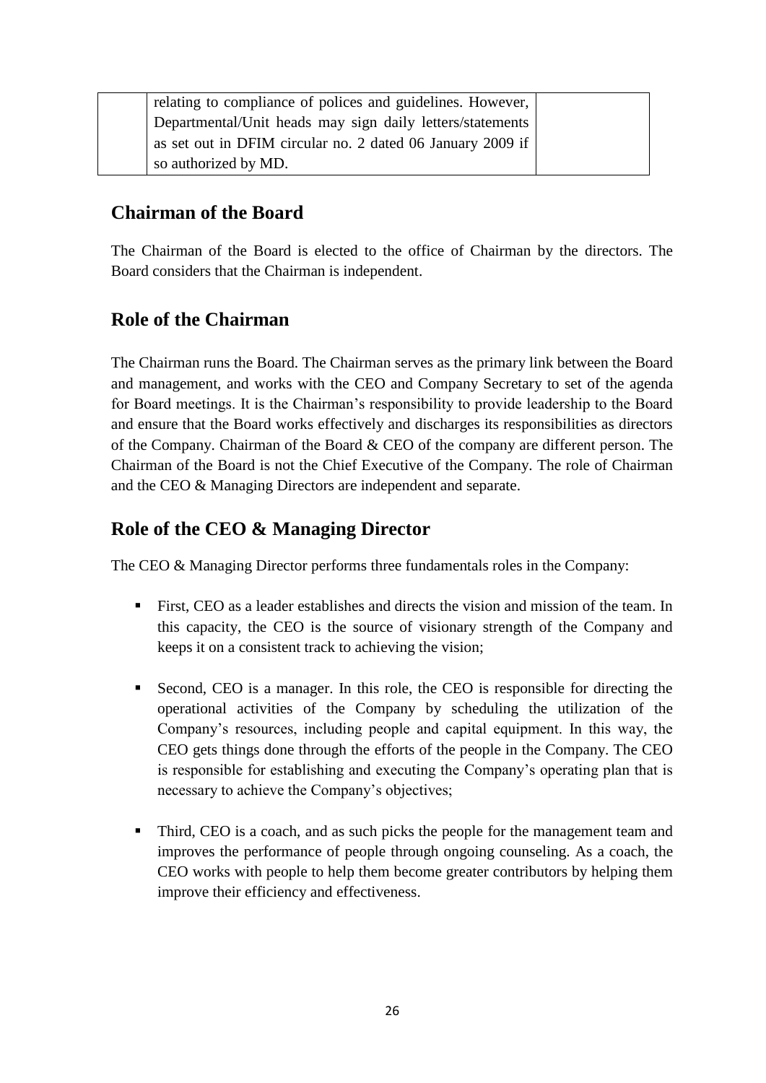| relating to compliance of polices and guidelines. However, |  |
|------------------------------------------------------------|--|
| Departmental/Unit heads may sign daily letters/statements  |  |
| as set out in DFIM circular no. 2 dated 06 January 2009 if |  |
| so authorized by MD.                                       |  |

#### **Chairman of the Board**

The Chairman of the Board is elected to the office of Chairman by the directors. The Board considers that the Chairman is independent.

#### **Role of the Chairman**

The Chairman runs the Board. The Chairman serves as the primary link between the Board and management, and works with the CEO and Company Secretary to set of the agenda for Board meetings. It is the Chairman's responsibility to provide leadership to the Board and ensure that the Board works effectively and discharges its responsibilities as directors of the Company. Chairman of the Board & CEO of the company are different person. The Chairman of the Board is not the Chief Executive of the Company. The role of Chairman and the CEO & Managing Directors are independent and separate.

#### **Role of the CEO & Managing Director**

The CEO & Managing Director performs three fundamentals roles in the Company:

- First, CEO as a leader establishes and directs the vision and mission of the team. In this capacity, the CEO is the source of visionary strength of the Company and keeps it on a consistent track to achieving the vision;
- Second, CEO is a manager. In this role, the CEO is responsible for directing the operational activities of the Company by scheduling the utilization of the Company's resources, including people and capital equipment. In this way, the CEO gets things done through the efforts of the people in the Company. The CEO is responsible for establishing and executing the Company's operating plan that is necessary to achieve the Company's objectives;
- Third, CEO is a coach, and as such picks the people for the management team and improves the performance of people through ongoing counseling. As a coach, the CEO works with people to help them become greater contributors by helping them improve their efficiency and effectiveness.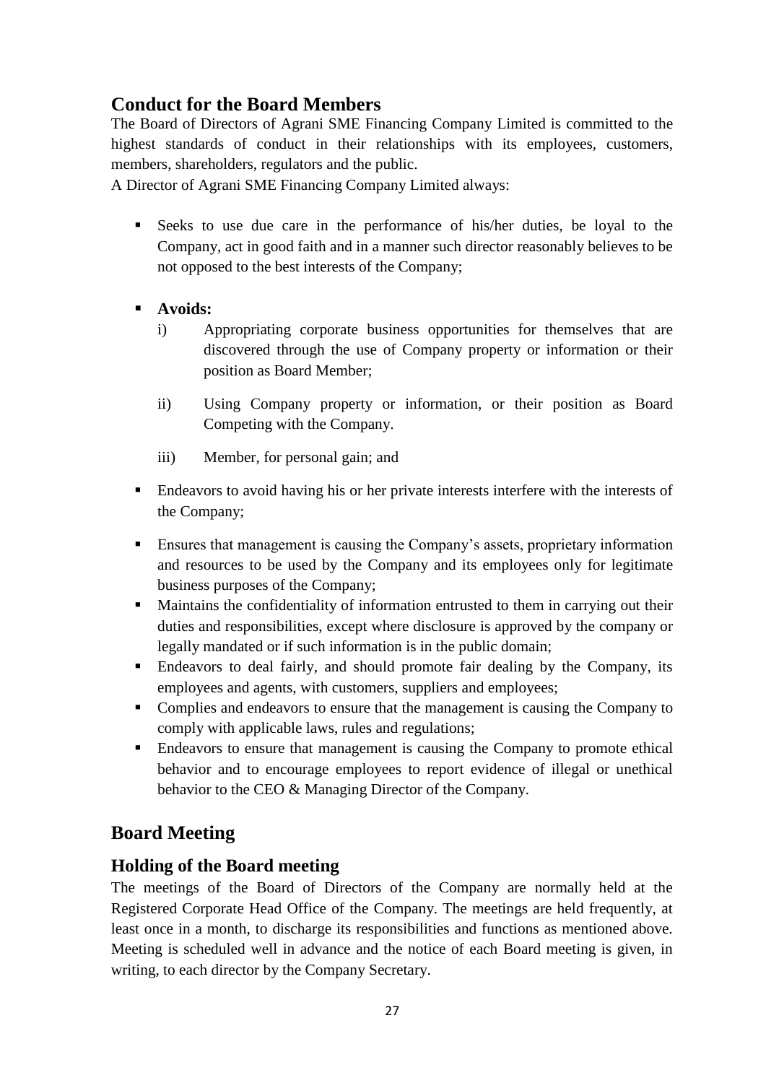## **Conduct for the Board Members**

The Board of Directors of Agrani SME Financing Company Limited is committed to the highest standards of conduct in their relationships with its employees, customers, members, shareholders, regulators and the public.

A Director of Agrani SME Financing Company Limited always:

- Seeks to use due care in the performance of his/her duties, be loyal to the Company, act in good faith and in a manner such director reasonably believes to be not opposed to the best interests of the Company;
- **Avoids:**
	- i) Appropriating corporate business opportunities for themselves that are discovered through the use of Company property or information or their position as Board Member;
	- ii) Using Company property or information, or their position as Board Competing with the Company.
	- iii) Member, for personal gain; and
- Endeavors to avoid having his or her private interests interfere with the interests of the Company;
- Ensures that management is causing the Company's assets, proprietary information and resources to be used by the Company and its employees only for legitimate business purposes of the Company;
- Maintains the confidentiality of information entrusted to them in carrying out their duties and responsibilities, except where disclosure is approved by the company or legally mandated or if such information is in the public domain;
- Endeavors to deal fairly, and should promote fair dealing by the Company, its employees and agents, with customers, suppliers and employees;
- Complies and endeavors to ensure that the management is causing the Company to comply with applicable laws, rules and regulations;
- **Endeavors to ensure that management is causing the Company to promote ethical** behavior and to encourage employees to report evidence of illegal or unethical behavior to the CEO & Managing Director of the Company.

## **Board Meeting**

#### **Holding of the Board meeting**

The meetings of the Board of Directors of the Company are normally held at the Registered Corporate Head Office of the Company. The meetings are held frequently, at least once in a month, to discharge its responsibilities and functions as mentioned above. Meeting is scheduled well in advance and the notice of each Board meeting is given, in writing, to each director by the Company Secretary.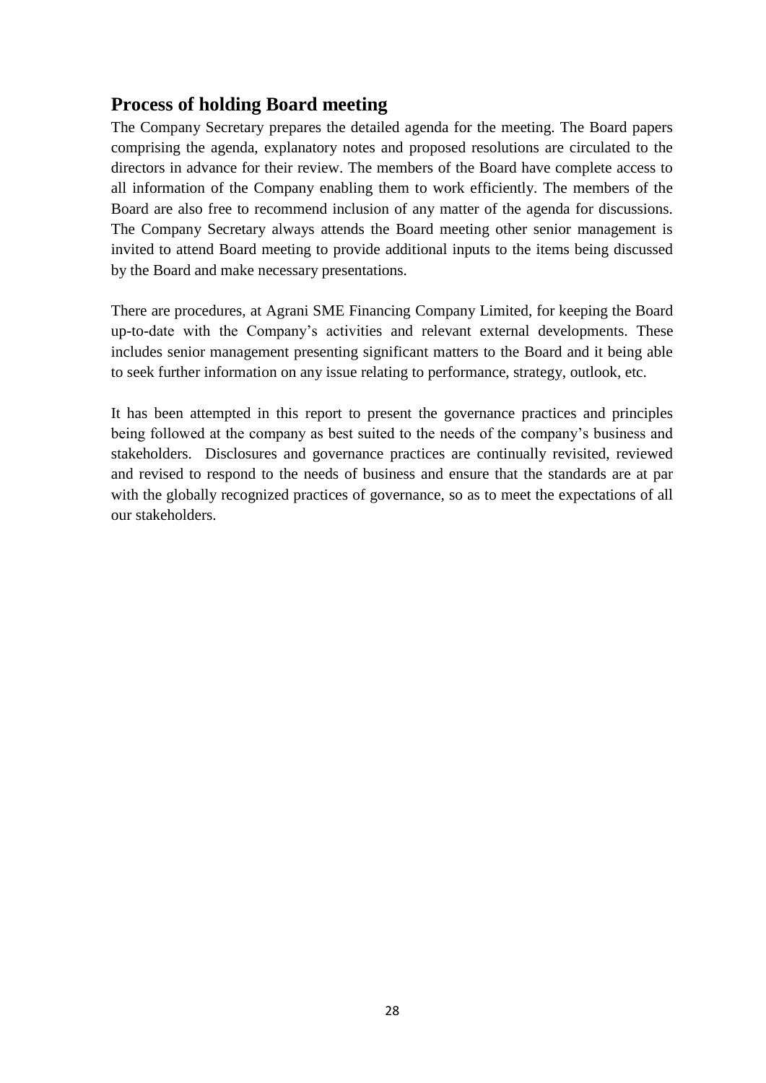#### **Process of holding Board meeting**

The Company Secretary prepares the detailed agenda for the meeting. The Board papers comprising the agenda, explanatory notes and proposed resolutions are circulated to the directors in advance for their review. The members of the Board have complete access to all information of the Company enabling them to work efficiently. The members of the Board are also free to recommend inclusion of any matter of the agenda for discussions. The Company Secretary always attends the Board meeting other senior management is invited to attend Board meeting to provide additional inputs to the items being discussed by the Board and make necessary presentations.

There are procedures, at Agrani SME Financing Company Limited, for keeping the Board up-to-date with the Company's activities and relevant external developments. These includes senior management presenting significant matters to the Board and it being able to seek further information on any issue relating to performance, strategy, outlook, etc.

It has been attempted in this report to present the governance practices and principles being followed at the company as best suited to the needs of the company's business and stakeholders. Disclosures and governance practices are continually revisited, reviewed and revised to respond to the needs of business and ensure that the standards are at par with the globally recognized practices of governance, so as to meet the expectations of all our stakeholders.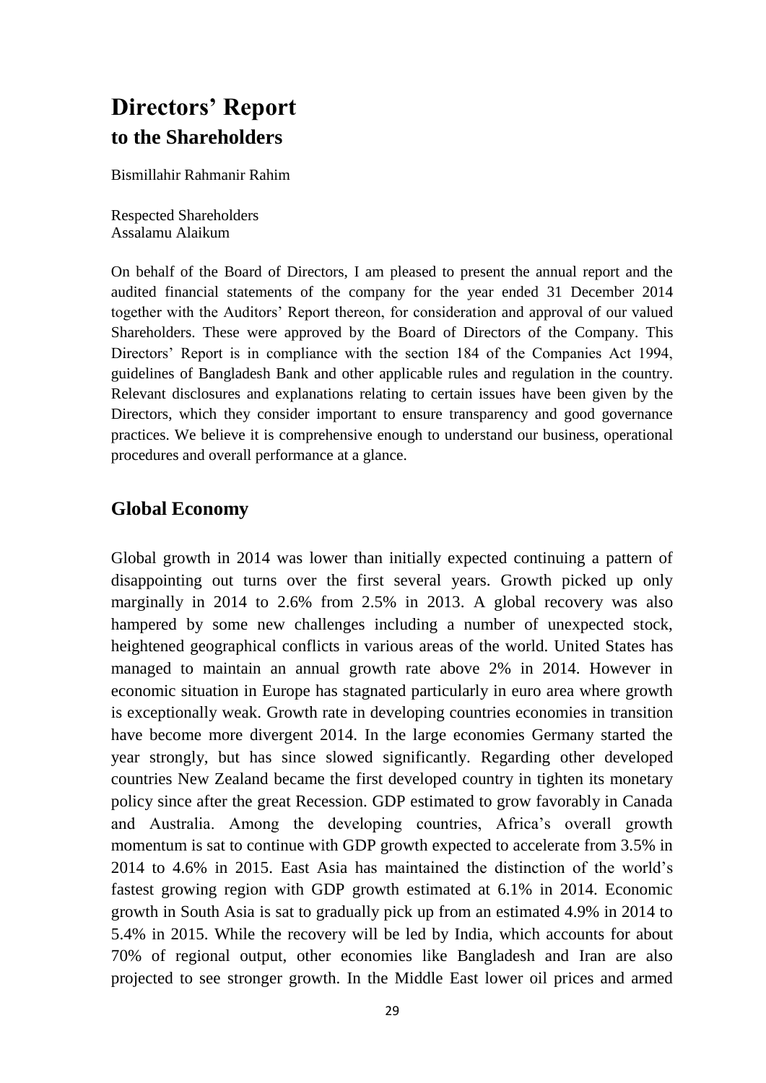# **Directors' Report to the Shareholders**

Bismillahir Rahmanir Rahim

Respected Shareholders Assalamu Alaikum

On behalf of the Board of Directors, I am pleased to present the annual report and the audited financial statements of the company for the year ended 31 December 2014 together with the Auditors' Report thereon, for consideration and approval of our valued Shareholders. These were approved by the Board of Directors of the Company. This Directors' Report is in compliance with the section 184 of the Companies Act 1994, guidelines of Bangladesh Bank and other applicable rules and regulation in the country. Relevant disclosures and explanations relating to certain issues have been given by the Directors, which they consider important to ensure transparency and good governance practices. We believe it is comprehensive enough to understand our business, operational procedures and overall performance at a glance.

#### **Global Economy**

Global growth in 2014 was lower than initially expected continuing a pattern of disappointing out turns over the first several years. Growth picked up only marginally in 2014 to 2.6% from 2.5% in 2013. A global recovery was also hampered by some new challenges including a number of unexpected stock, heightened geographical conflicts in various areas of the world. United States has managed to maintain an annual growth rate above 2% in 2014. However in economic situation in Europe has stagnated particularly in euro area where growth is exceptionally weak. Growth rate in developing countries economies in transition have become more divergent 2014. In the large economies Germany started the year strongly, but has since slowed significantly. Regarding other developed countries New Zealand became the first developed country in tighten its monetary policy since after the great Recession. GDP estimated to grow favorably in Canada and Australia. Among the developing countries, Africa's overall growth momentum is sat to continue with GDP growth expected to accelerate from 3.5% in 2014 to 4.6% in 2015. East Asia has maintained the distinction of the world's fastest growing region with GDP growth estimated at 6.1% in 2014. Economic growth in South Asia is sat to gradually pick up from an estimated 4.9% in 2014 to 5.4% in 2015. While the recovery will be led by India, which accounts for about 70% of regional output, other economies like Bangladesh and Iran are also projected to see stronger growth. In the Middle East lower oil prices and armed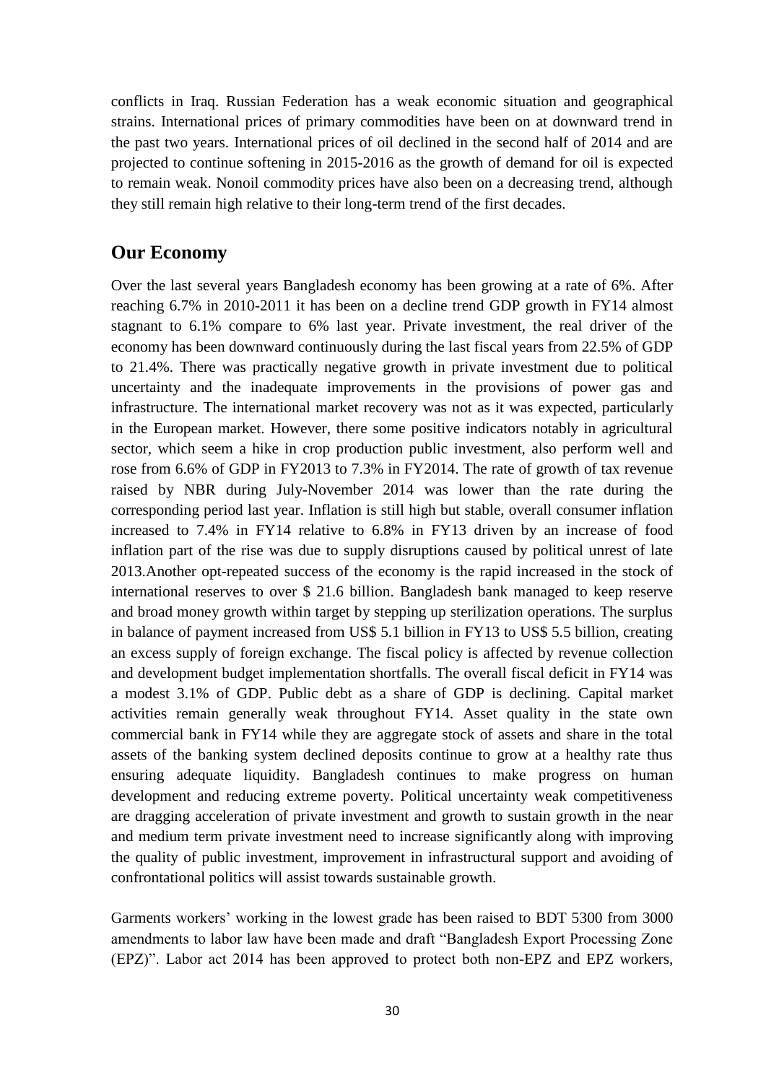conflicts in Iraq. Russian Federation has a weak economic situation and geographical strains. International prices of primary commodities have been on at downward trend in the past two years. International prices of oil declined in the second half of 2014 and are projected to continue softening in 2015-2016 as the growth of demand for oil is expected to remain weak. Nonoil commodity prices have also been on a decreasing trend, although they still remain high relative to their long-term trend of the first decades.

#### **Our Economy**

Over the last several years Bangladesh economy has been growing at a rate of 6%. After reaching 6.7% in 2010-2011 it has been on a decline trend GDP growth in FY14 almost stagnant to 6.1% compare to 6% last year. Private investment, the real driver of the economy has been downward continuously during the last fiscal years from 22.5% of GDP to 21.4%. There was practically negative growth in private investment due to political uncertainty and the inadequate improvements in the provisions of power gas and infrastructure. The international market recovery was not as it was expected, particularly in the European market. However, there some positive indicators notably in agricultural sector, which seem a hike in crop production public investment, also perform well and rose from 6.6% of GDP in FY2013 to 7.3% in FY2014. The rate of growth of tax revenue raised by NBR during July-November 2014 was lower than the rate during the corresponding period last year. Inflation is still high but stable, overall consumer inflation increased to 7.4% in FY14 relative to 6.8% in FY13 driven by an increase of food inflation part of the rise was due to supply disruptions caused by political unrest of late 2013.Another opt-repeated success of the economy is the rapid increased in the stock of international reserves to over \$ 21.6 billion. Bangladesh bank managed to keep reserve and broad money growth within target by stepping up sterilization operations. The surplus in balance of payment increased from US\$ 5.1 billion in FY13 to US\$ 5.5 billion, creating an excess supply of foreign exchange. The fiscal policy is affected by revenue collection and development budget implementation shortfalls. The overall fiscal deficit in FY14 was a modest 3.1% of GDP. Public debt as a share of GDP is declining. Capital market activities remain generally weak throughout FY14. Asset quality in the state own commercial bank in FY14 while they are aggregate stock of assets and share in the total assets of the banking system declined deposits continue to grow at a healthy rate thus ensuring adequate liquidity. Bangladesh continues to make progress on human development and reducing extreme poverty. Political uncertainty weak competitiveness are dragging acceleration of private investment and growth to sustain growth in the near and medium term private investment need to increase significantly along with improving the quality of public investment, improvement in infrastructural support and avoiding of confrontational politics will assist towards sustainable growth.

Garments workers' working in the lowest grade has been raised to BDT 5300 from 3000 amendments to labor law have been made and draft "Bangladesh Export Processing Zone (EPZ)". Labor act 2014 has been approved to protect both non-EPZ and EPZ workers,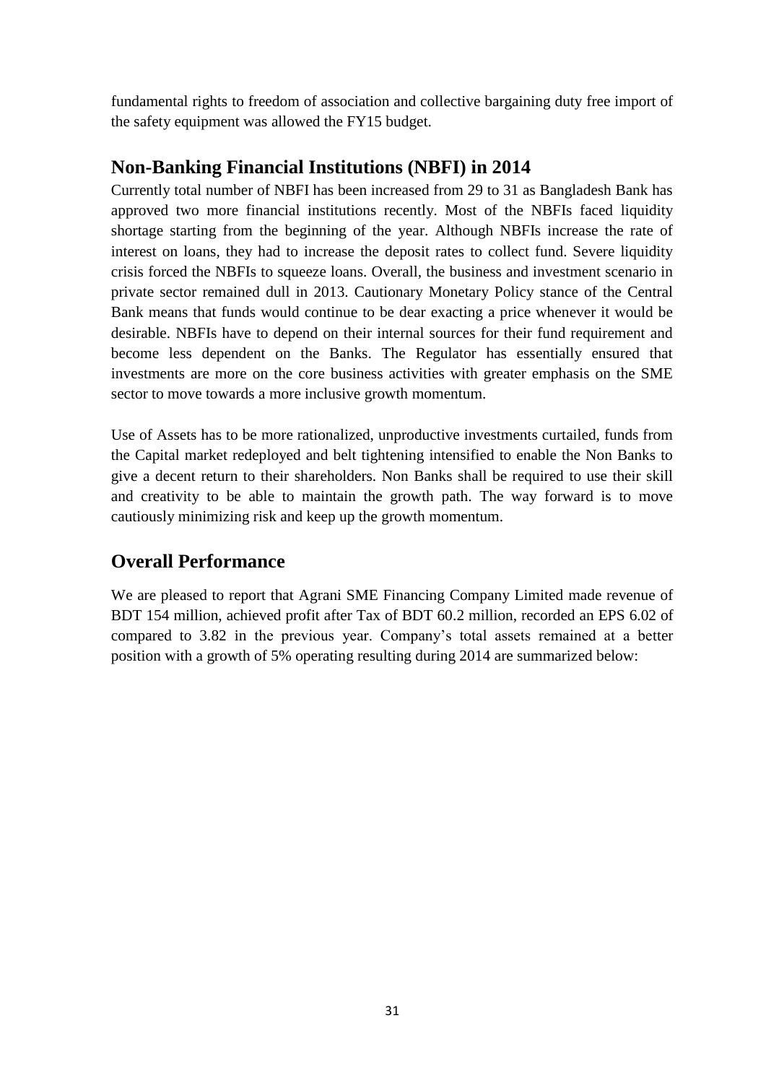fundamental rights to freedom of association and collective bargaining duty free import of the safety equipment was allowed the FY15 budget.

#### **Non-Banking Financial Institutions (NBFI) in 2014**

Currently total number of NBFI has been increased from 29 to 31 as Bangladesh Bank has approved two more financial institutions recently. Most of the NBFIs faced liquidity shortage starting from the beginning of the year. Although NBFIs increase the rate of interest on loans, they had to increase the deposit rates to collect fund. Severe liquidity crisis forced the NBFIs to squeeze loans. Overall, the business and investment scenario in private sector remained dull in 2013. Cautionary Monetary Policy stance of the Central Bank means that funds would continue to be dear exacting a price whenever it would be desirable. NBFIs have to depend on their internal sources for their fund requirement and become less dependent on the Banks. The Regulator has essentially ensured that investments are more on the core business activities with greater emphasis on the SME sector to move towards a more inclusive growth momentum.

Use of Assets has to be more rationalized, unproductive investments curtailed, funds from the Capital market redeployed and belt tightening intensified to enable the Non Banks to give a decent return to their shareholders. Non Banks shall be required to use their skill and creativity to be able to maintain the growth path. The way forward is to move cautiously minimizing risk and keep up the growth momentum.

## **Overall Performance**

We are pleased to report that Agrani SME Financing Company Limited made revenue of BDT 154 million, achieved profit after Tax of BDT 60.2 million, recorded an EPS 6.02 of compared to 3.82 in the previous year. Company's total assets remained at a better position with a growth of 5% operating resulting during 2014 are summarized below: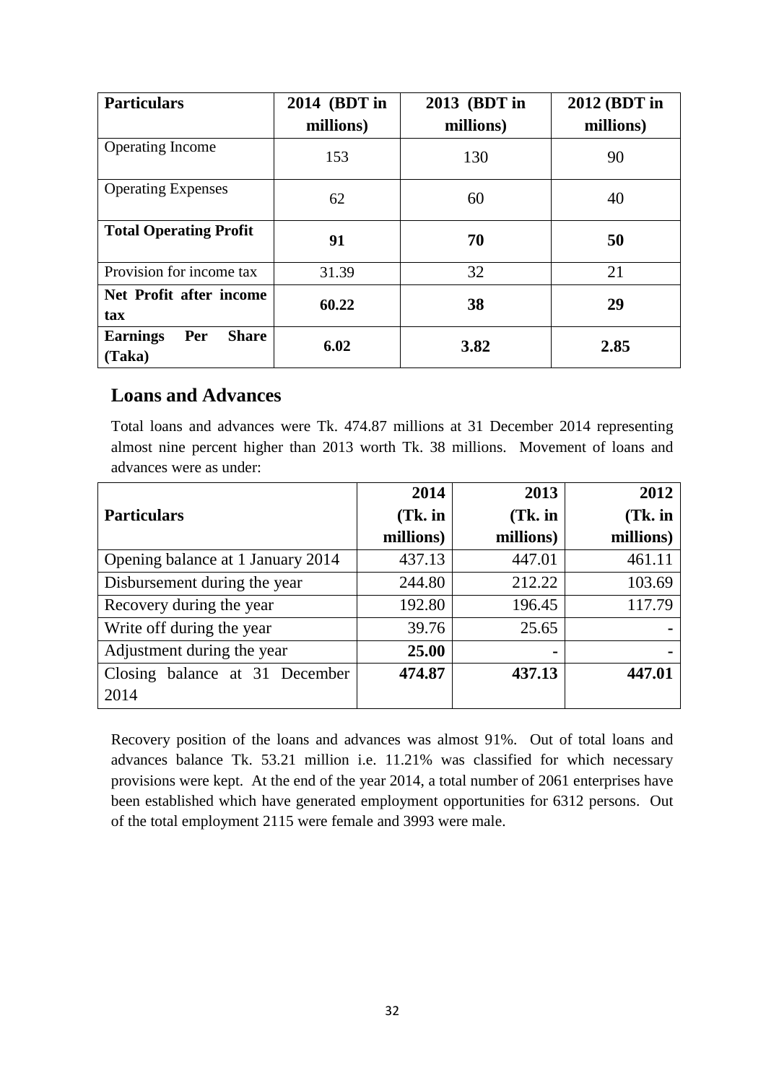| <b>Particulars</b>                               | 2014 (BDT in<br>millions) | 2013 (BDT in<br>millions) | 2012 (BDT in<br>millions) |
|--------------------------------------------------|---------------------------|---------------------------|---------------------------|
| <b>Operating Income</b>                          | 153                       | 130                       | 90                        |
| <b>Operating Expenses</b>                        | 62                        | 60                        | 40                        |
| <b>Total Operating Profit</b>                    | 91                        | 70                        | 50                        |
| Provision for income tax                         | 31.39                     | 32                        | 21                        |
| Net Profit after income<br>tax                   | 60.22                     | 38                        | 29                        |
| Per<br><b>Share</b><br><b>Earnings</b><br>(Taka) | 6.02                      | 3.82                      | 2.85                      |

#### **Loans and Advances**

Total loans and advances were Tk. 474.87 millions at 31 December 2014 representing almost nine percent higher than 2013 worth Tk. 38 millions. Movement of loans and advances were as under:

|                                   | 2014      | 2013      | 2012      |
|-----------------------------------|-----------|-----------|-----------|
| <b>Particulars</b>                | $(Tk.$ in | $(Tk.$ in | $(Tk.$ in |
|                                   | millions) | millions) | millions) |
| Opening balance at 1 January 2014 | 437.13    | 447.01    | 461.11    |
| Disbursement during the year      | 244.80    | 212.22    | 103.69    |
| Recovery during the year          | 192.80    | 196.45    | 117.79    |
| Write off during the year         | 39.76     | 25.65     |           |
| Adjustment during the year        | 25.00     |           |           |
| Closing balance at 31 December    | 474.87    | 437.13    | 447.01    |
| 2014                              |           |           |           |

Recovery position of the loans and advances was almost 91%. Out of total loans and advances balance Tk. 53.21 million i.e. 11.21% was classified for which necessary provisions were kept. At the end of the year 2014, a total number of 2061 enterprises have been established which have generated employment opportunities for 6312 persons. Out of the total employment 2115 were female and 3993 were male.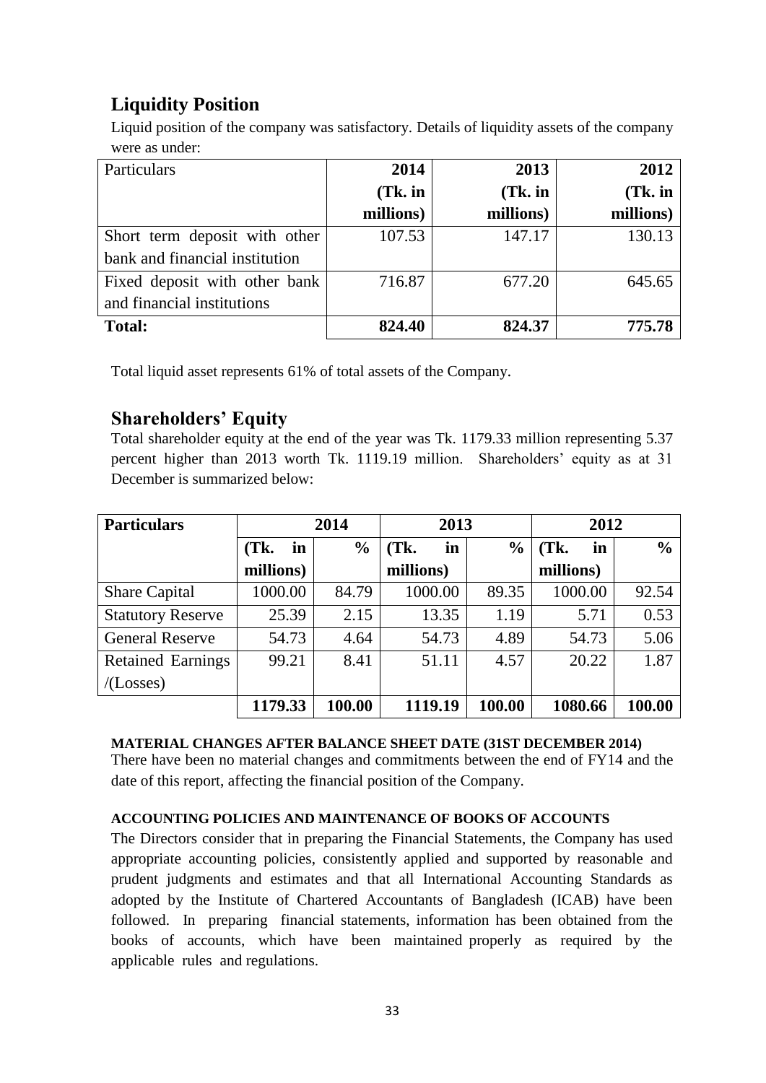# **Liquidity Position**

Liquid position of the company was satisfactory. Details of liquidity assets of the company were as under:

| Particulars                    | 2014      | 2013      | 2012      |
|--------------------------------|-----------|-----------|-----------|
|                                | $(Tk.$ in | $(Tk.$ in | $(Tk.$ in |
|                                | millions) | millions) | millions) |
| Short term deposit with other  | 107.53    | 147.17    | 130.13    |
| bank and financial institution |           |           |           |
| Fixed deposit with other bank  | 716.87    | 677.20    | 645.65    |
| and financial institutions     |           |           |           |
| <b>Total:</b>                  | 824.40    | 824.37    | 775.78    |

Total liquid asset represents 61% of total assets of the Company.

#### **Shareholders' Equity**

Total shareholder equity at the end of the year was Tk. 1179.33 million representing 5.37 percent higher than 2013 worth Tk. 1119.19 million. Shareholders' equity as at 31 December is summarized below:

| <b>Particulars</b>       | 2014       |               | 2013       |               | 2012       |               |
|--------------------------|------------|---------------|------------|---------------|------------|---------------|
|                          | (Tk.<br>in | $\frac{6}{6}$ | (Tk.<br>in | $\frac{0}{0}$ | (Tk)<br>in | $\frac{0}{0}$ |
|                          | millions)  |               | millions)  |               | millions)  |               |
| <b>Share Capital</b>     | 1000.00    | 84.79         | 1000.00    | 89.35         | 1000.00    | 92.54         |
| <b>Statutory Reserve</b> | 25.39      | 2.15          | 13.35      | 1.19          | 5.71       | 0.53          |
| <b>General Reserve</b>   | 54.73      | 4.64          | 54.73      | 4.89          | 54.73      | 5.06          |
| <b>Retained Earnings</b> | 99.21      | 8.41          | 51.11      | 4.57          | 20.22      | 1.87          |
| /(Losses)                |            |               |            |               |            |               |
|                          | 1179.33    | 100.00        | 1119.19    | 100.00        | 1080.66    | 100.00        |

#### **MATERIAL CHANGES AFTER BALANCE SHEET DATE (31ST DECEMBER 2014)**

There have been no material changes and commitments between the end of FY14 and the date of this report, affecting the financial position of the Company.

#### **ACCOUNTING POLICIES AND MAINTENANCE OF BOOKS OF ACCOUNTS**

The Directors consider that in preparing the Financial Statements, the Company has used appropriate accounting policies, consistently applied and supported by reasonable and prudent judgments and estimates and that all International Accounting Standards as adopted by the Institute of Chartered Accountants of Bangladesh (ICAB) have been followed. In preparing financial statements, information has been obtained from the books of accounts, which have been maintained properly as required by the applicable rules and regulations.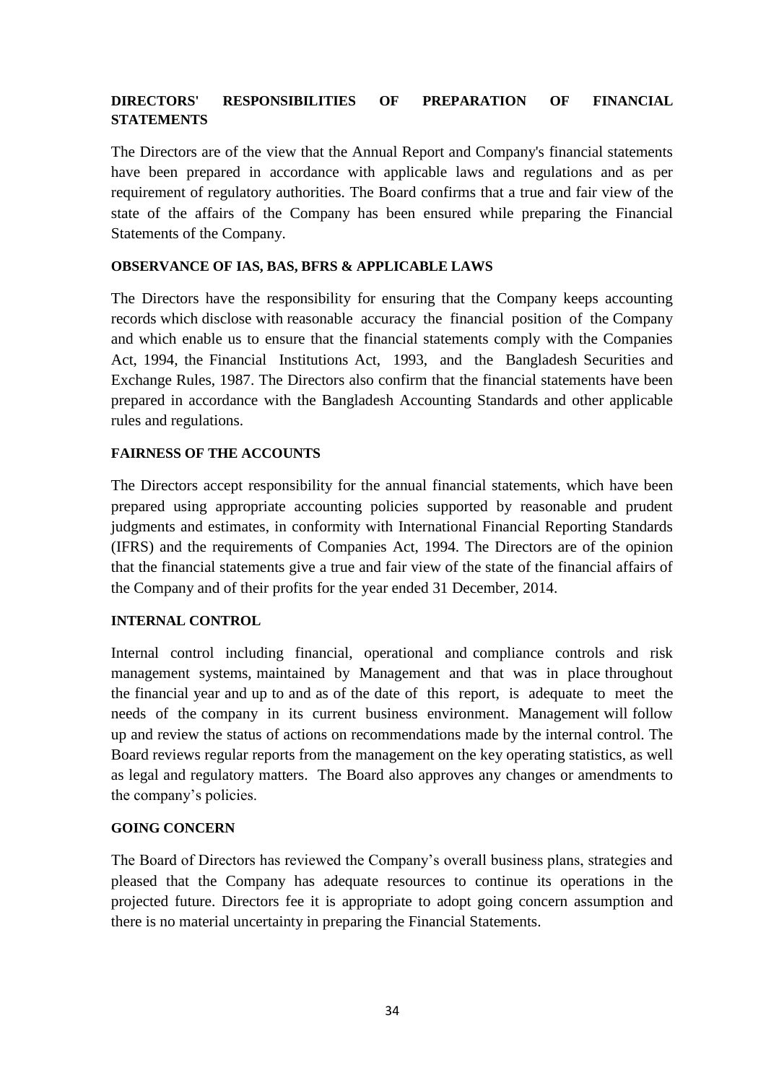#### **DIRECTORS' RESPONSIBILITIES OF PREPARATION OF FINANCIAL STATEMENTS**

The Directors are of the view that the Annual Report and Company's financial statements have been prepared in accordance with applicable laws and regulations and as per requirement of regulatory authorities. The Board confirms that a true and fair view of the state of the affairs of the Company has been ensured while preparing the Financial Statements of the Company.

#### **OBSERVANCE OF IAS, BAS, BFRS & APPLICABLE LAWS**

The Directors have the responsibility for ensuring that the Company keeps accounting records which disclose with reasonable accuracy the financial position of the Company and which enable us to ensure that the financial statements comply with the Companies Act, 1994, the Financial Institutions Act, 1993, and the Bangladesh Securities and Exchange Rules, 1987. The Directors also confirm that the financial statements have been prepared in accordance with the Bangladesh Accounting Standards and other applicable rules and regulations.

#### **FAIRNESS OF THE ACCOUNTS**

The Directors accept responsibility for the annual financial statements, which have been prepared using appropriate accounting policies supported by reasonable and prudent judgments and estimates, in conformity with International Financial Reporting Standards (IFRS) and the requirements of Companies Act, 1994. The Directors are of the opinion that the financial statements give a true and fair view of the state of the financial affairs of the Company and of their profits for the year ended 31 December, 2014.

#### **INTERNAL CONTROL**

Internal control including financial, operational and compliance controls and risk management systems, maintained by Management and that was in place throughout the financial year and up to and as of the date of this report, is adequate to meet the needs of the company in its current business environment. Management will follow up and review the status of actions on recommendations made by the internal control. The Board reviews regular reports from the management on the key operating statistics, as well as legal and regulatory matters. The Board also approves any changes or amendments to the company's policies.

#### **GOING CONCERN**

The Board of Directors has reviewed the Company's overall business plans, strategies and pleased that the Company has adequate resources to continue its operations in the projected future. Directors fee it is appropriate to adopt going concern assumption and there is no material uncertainty in preparing the Financial Statements.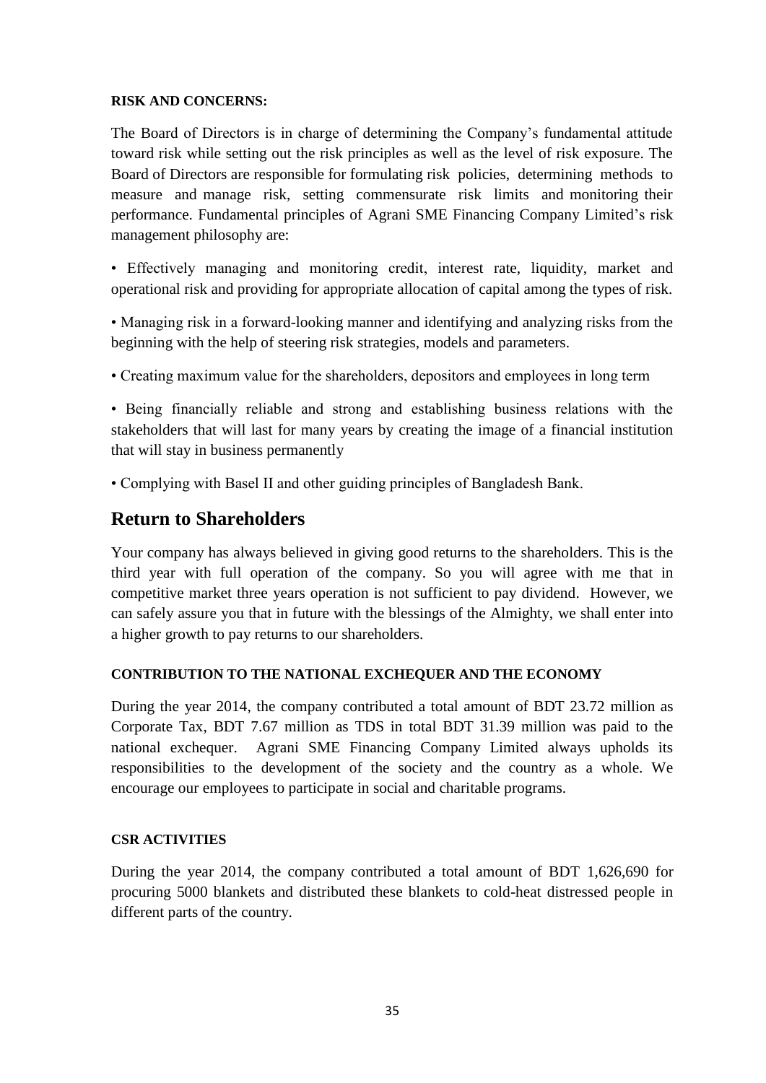#### **RISK AND CONCERNS:**

The Board of Directors is in charge of determining the Company's fundamental attitude toward risk while setting out the risk principles as well as the level of risk exposure. The Board of Directors are responsible for formulating risk policies, determining methods to measure and manage risk, setting commensurate risk limits and monitoring their performance. Fundamental principles of Agrani SME Financing Company Limited's risk management philosophy are:

• Effectively managing and monitoring credit, interest rate, liquidity, market and operational risk and providing for appropriate allocation of capital among the types of risk.

• Managing risk in a forward-looking manner and identifying and analyzing risks from the beginning with the help of steering risk strategies, models and parameters.

• Creating maximum value for the shareholders, depositors and employees in long term

• Being financially reliable and strong and establishing business relations with the stakeholders that will last for many years by creating the image of a financial institution that will stay in business permanently

• Complying with Basel II and other guiding principles of Bangladesh Bank.

#### **Return to Shareholders**

Your company has always believed in giving good returns to the shareholders. This is the third year with full operation of the company. So you will agree with me that in competitive market three years operation is not sufficient to pay dividend. However, we can safely assure you that in future with the blessings of the Almighty, we shall enter into a higher growth to pay returns to our shareholders.

#### **CONTRIBUTION TO THE NATIONAL EXCHEQUER AND THE ECONOMY**

During the year 2014, the company contributed a total amount of BDT 23.72 million as Corporate Tax, BDT 7.67 million as TDS in total BDT 31.39 million was paid to the national exchequer. Agrani SME Financing Company Limited always upholds its responsibilities to the development of the society and the country as a whole. We encourage our employees to participate in social and charitable programs.

#### **CSR ACTIVITIES**

During the year 2014, the company contributed a total amount of BDT 1,626,690 for procuring 5000 blankets and distributed these blankets to cold-heat distressed people in different parts of the country.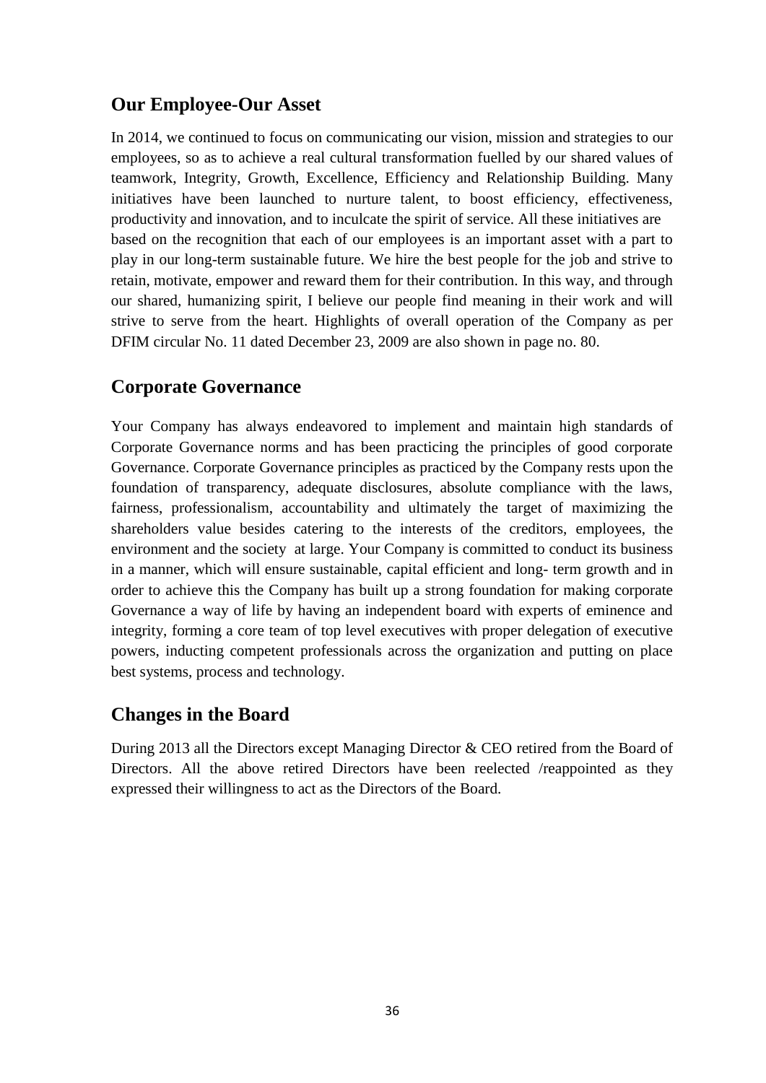#### **Our Employee-Our Asset**

In 2014, we continued to focus on communicating our vision, mission and strategies to our employees, so as to achieve a real cultural transformation fuelled by our shared values of teamwork, Integrity, Growth, Excellence, Efficiency and Relationship Building. Many initiatives have been launched to nurture talent, to boost efficiency, effectiveness, productivity and innovation, and to inculcate the spirit of service. All these initiatives are based on the recognition that each of our employees is an important asset with a part to play in our long-term sustainable future. We hire the best people for the job and strive to retain, motivate, empower and reward them for their contribution. In this way, and through our shared, humanizing spirit, I believe our people find meaning in their work and will strive to serve from the heart. Highlights of overall operation of the Company as per DFIM circular No. 11 dated December 23, 2009 are also shown in page no. 80.

#### **Corporate Governance**

Your Company has always endeavored to implement and maintain high standards of Corporate Governance norms and has been practicing the principles of good corporate Governance. Corporate Governance principles as practiced by the Company rests upon the foundation of transparency, adequate disclosures, absolute compliance with the laws, fairness, professionalism, accountability and ultimately the target of maximizing the shareholders value besides catering to the interests of the creditors, employees, the environment and the society at large. Your Company is committed to conduct its business in a manner, which will ensure sustainable, capital efficient and long- term growth and in order to achieve this the Company has built up a strong foundation for making corporate Governance a way of life by having an independent board with experts of eminence and integrity, forming a core team of top level executives with proper delegation of executive powers, inducting competent professionals across the organization and putting on place best systems, process and technology.

#### **Changes in the Board**

During 2013 all the Directors except Managing Director & CEO retired from the Board of Directors. All the above retired Directors have been reelected /reappointed as they expressed their willingness to act as the Directors of the Board.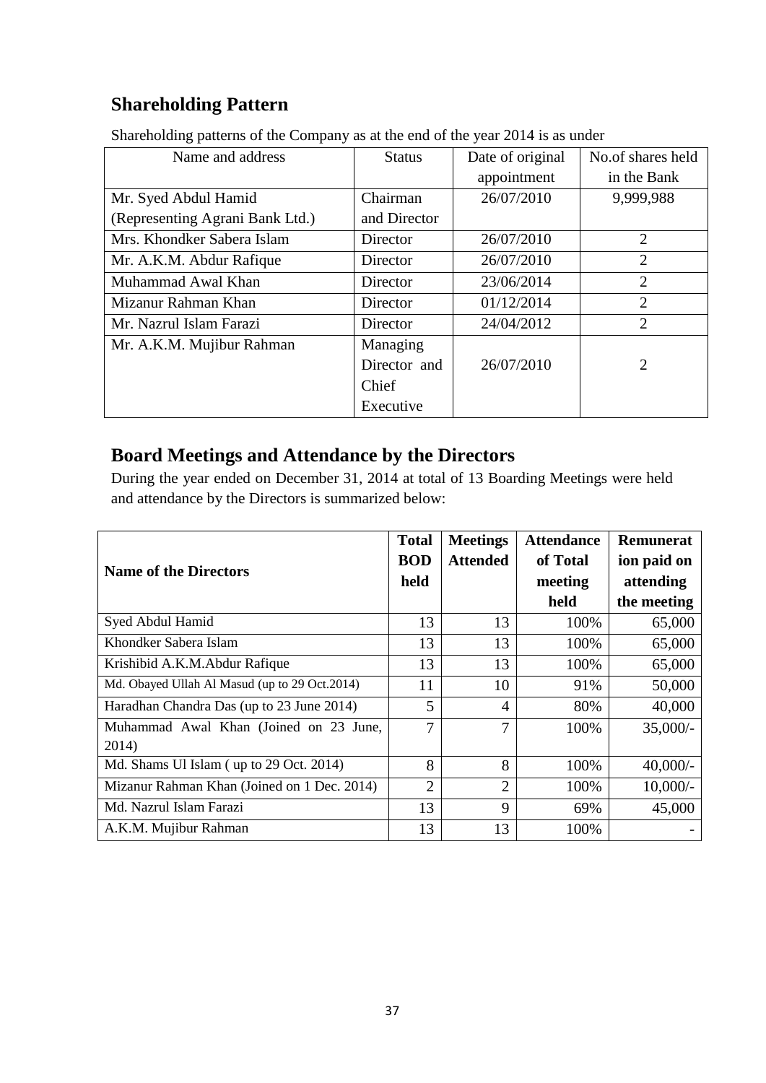# **Shareholding Pattern**

| Name and address                | <b>Status</b> | Date of original | No.of shares held |  |
|---------------------------------|---------------|------------------|-------------------|--|
|                                 |               | appointment      | in the Bank       |  |
| Mr. Syed Abdul Hamid            | Chairman      | 26/07/2010       | 9,999,988         |  |
| (Representing Agrani Bank Ltd.) | and Director  |                  |                   |  |
| Mrs. Khondker Sabera Islam      | Director      | 26/07/2010       | 2                 |  |
| Mr. A.K.M. Abdur Rafique        | Director      | 26/07/2010       | $\overline{2}$    |  |
| Muhammad Awal Khan              | Director      | 23/06/2014       | $\overline{2}$    |  |
| Mizanur Rahman Khan             | Director      | 01/12/2014       | $\overline{2}$    |  |
| Mr. Nazrul Islam Farazi         | Director      | 24/04/2012       | $\overline{2}$    |  |
| Mr. A.K.M. Mujibur Rahman       | Managing      |                  |                   |  |
|                                 | Director and  | 26/07/2010       | 2                 |  |
|                                 | Chief         |                  |                   |  |
|                                 | Executive     |                  |                   |  |

Shareholding patterns of the Company as at the end of the year 2014 is as under

#### **Board Meetings and Attendance by the Directors**

During the year ended on December 31, 2014 at total of 13 Boarding Meetings were held and attendance by the Directors is summarized below:

| <b>Name of the Directors</b>                    |    | <b>Meetings</b><br><b>Attended</b> | <b>Attendance</b><br>of Total<br>meeting | Remunerat<br>ion paid on<br>attending |
|-------------------------------------------------|----|------------------------------------|------------------------------------------|---------------------------------------|
|                                                 |    |                                    | held                                     | the meeting                           |
| Syed Abdul Hamid                                |    | 13                                 | 100%                                     | 65,000                                |
| Khondker Sabera Islam                           | 13 | 13                                 | 100%                                     | 65,000                                |
| Krishibid A.K.M.Abdur Rafique                   |    | 13                                 | 100%                                     | 65,000                                |
| Md. Obayed Ullah Al Masud (up to 29 Oct.2014)   |    | 10                                 | 91%                                      | 50,000                                |
| Haradhan Chandra Das (up to 23 June 2014)       |    | $\overline{4}$                     | 80%                                      | 40,000                                |
| Muhammad Awal Khan (Joined on 23 June,<br>2014) |    | 7                                  | 100%                                     | $35,000/-$                            |
| Md. Shams Ul Islam (up to 29 Oct. 2014)         |    | 8                                  | 100%                                     | $40,000/-$                            |
| Mizanur Rahman Khan (Joined on 1 Dec. 2014)     |    | $\overline{2}$                     | 100%                                     | $10,000/-$                            |
| Md. Nazrul Islam Farazi                         |    | 9                                  | 69%                                      | 45,000                                |
| A.K.M. Mujibur Rahman                           | 13 | 13                                 | 100%                                     |                                       |